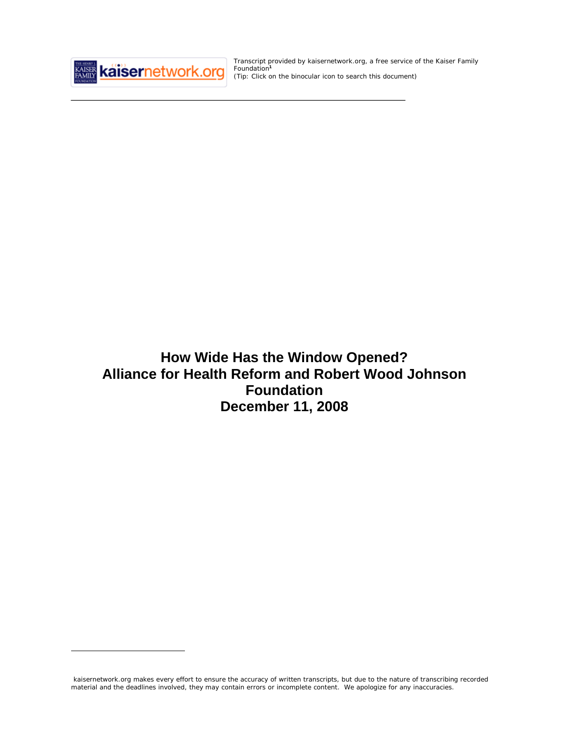

 $\overline{a}$ 

Transcript provided by kaisernetwork.org, a free service of the Kaiser Family Foundation**<sup>1</sup>** *(Tip: Click on the binocular icon to search this document)*

**How Wide Has the Window Opened? Alliance for Health Reform and Robert Wood Johnson Foundation December 11, 2008**

kaisernetwork.org makes every effort to ensure the accuracy of written transcripts, but due to the nature of transcribing recorded material and the deadlines involved, they may contain errors or incomplete content. We apologize for any inaccuracies.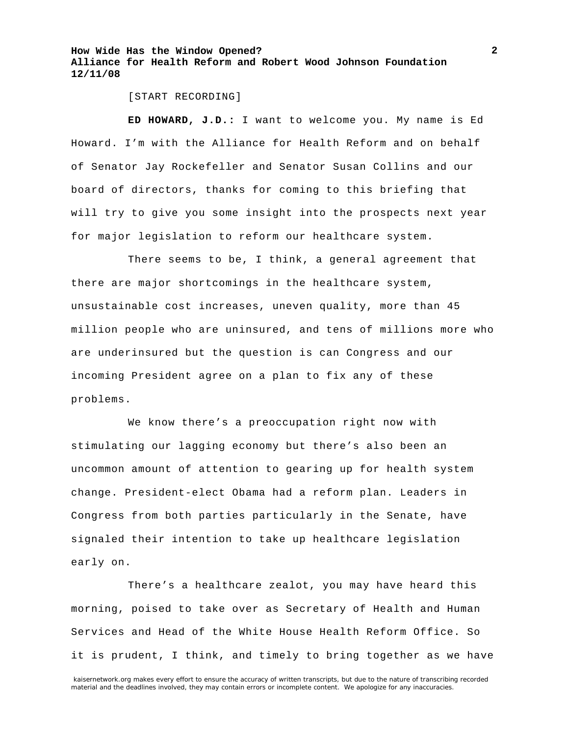[START RECORDING]

**ED HOWARD, J.D.:** I want to welcome you. My name is Ed Howard. I'm with the Alliance for Health Reform and on behalf of Senator Jay Rockefeller and Senator Susan Collins and our board of directors, thanks for coming to this briefing that will try to give you some insight into the prospects next year for major legislation to reform our healthcare system.

There seems to be, I think, a general agreement that there are major shortcomings in the healthcare system, unsustainable cost increases, uneven quality, more than 45 million people who are uninsured, and tens of millions more who are underinsured but the question is can Congress and our incoming President agree on a plan to fix any of these problems.

We know there's a preoccupation right now with stimulating our lagging economy but there's also been an uncommon amount of attention to gearing up for health system change. President-elect Obama had a reform plan. Leaders in Congress from both parties particularly in the Senate, have signaled their intention to take up healthcare legislation early on.

There's a healthcare zealot, you may have heard this morning, poised to take over as Secretary of Health and Human Services and Head of the White House Health Reform Office. So it is prudent, I think, and timely to bring together as we have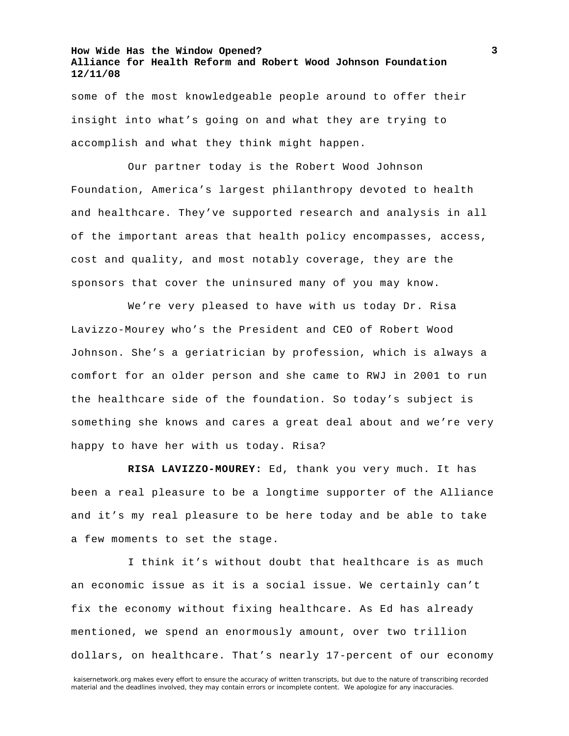some of the most knowledgeable people around to offer their insight into what's going on and what they are trying to accomplish and what they think might happen.

Our partner today is the Robert Wood Johnson Foundation, America's largest philanthropy devoted to health and healthcare. They've supported research and analysis in all of the important areas that health policy encompasses, access, cost and quality, and most notably coverage, they are the sponsors that cover the uninsured many of you may know.

We're very pleased to have with us today Dr. Risa Lavizzo-Mourey who's the President and CEO of Robert Wood Johnson. She's a geriatrician by profession, which is always a comfort for an older person and she came to RWJ in 2001 to run the healthcare side of the foundation. So today's subject is something she knows and cares a great deal about and we're very happy to have her with us today. Risa?

**RISA LAVIZZO-MOUREY:** Ed, thank you very much. It has been a real pleasure to be a longtime supporter of the Alliance and it's my real pleasure to be here today and be able to take a few moments to set the stage.

I think it's without doubt that healthcare is as much an economic issue as it is a social issue. We certainly can't fix the economy without fixing healthcare. As Ed has already mentioned, we spend an enormously amount, over two trillion dollars, on healthcare. That's nearly 17-percent of our economy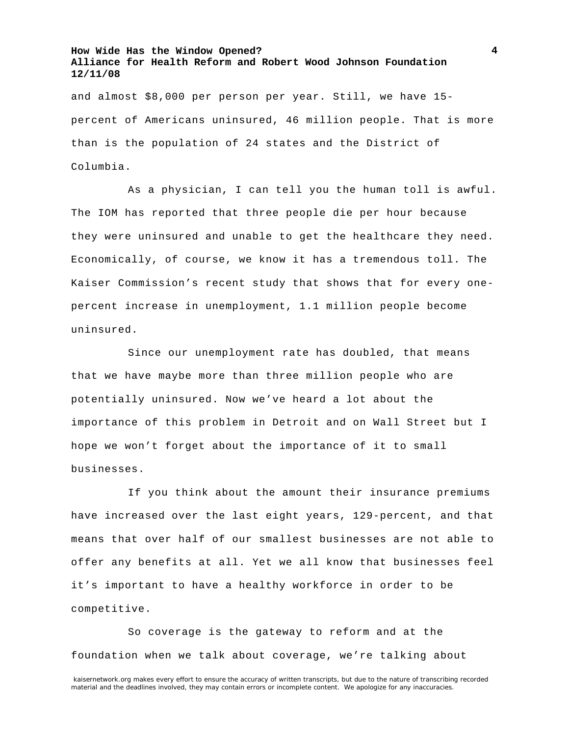and almost \$8,000 per person per year. Still, we have 15 percent of Americans uninsured, 46 million people. That is more than is the population of 24 states and the District of Columbia.

As a physician, I can tell you the human toll is awful. The IOM has reported that three people die per hour because they were uninsured and unable to get the healthcare they need. Economically, of course, we know it has a tremendous toll. The Kaiser Commission's recent study that shows that for every onepercent increase in unemployment, 1.1 million people become uninsured.

Since our unemployment rate has doubled, that means that we have maybe more than three million people who are potentially uninsured. Now we've heard a lot about the importance of this problem in Detroit and on Wall Street but I hope we won't forget about the importance of it to small businesses.

If you think about the amount their insurance premiums have increased over the last eight years, 129-percent, and that means that over half of our smallest businesses are not able to offer any benefits at all. Yet we all know that businesses feel it's important to have a healthy workforce in order to be competitive.

So coverage is the gateway to reform and at the foundation when we talk about coverage, we're talking about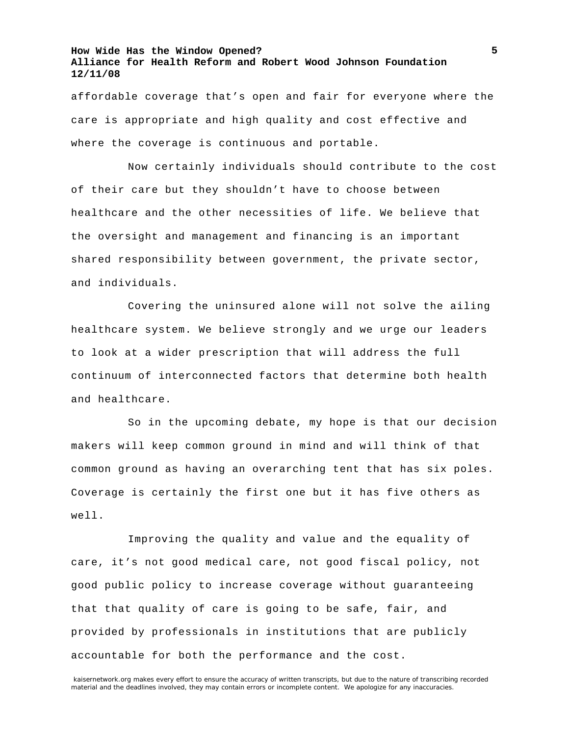affordable coverage that's open and fair for everyone where the care is appropriate and high quality and cost effective and where the coverage is continuous and portable.

Now certainly individuals should contribute to the cost of their care but they shouldn't have to choose between healthcare and the other necessities of life. We believe that the oversight and management and financing is an important shared responsibility between government, the private sector, and individuals.

Covering the uninsured alone will not solve the ailing healthcare system. We believe strongly and we urge our leaders to look at a wider prescription that will address the full continuum of interconnected factors that determine both health and healthcare.

So in the upcoming debate, my hope is that our decision makers will keep common ground in mind and will think of that common ground as having an overarching tent that has six poles. Coverage is certainly the first one but it has five others as well.

Improving the quality and value and the equality of care, it's not good medical care, not good fiscal policy, not good public policy to increase coverage without guaranteeing that that quality of care is going to be safe, fair, and provided by professionals in institutions that are publicly accountable for both the performance and the cost.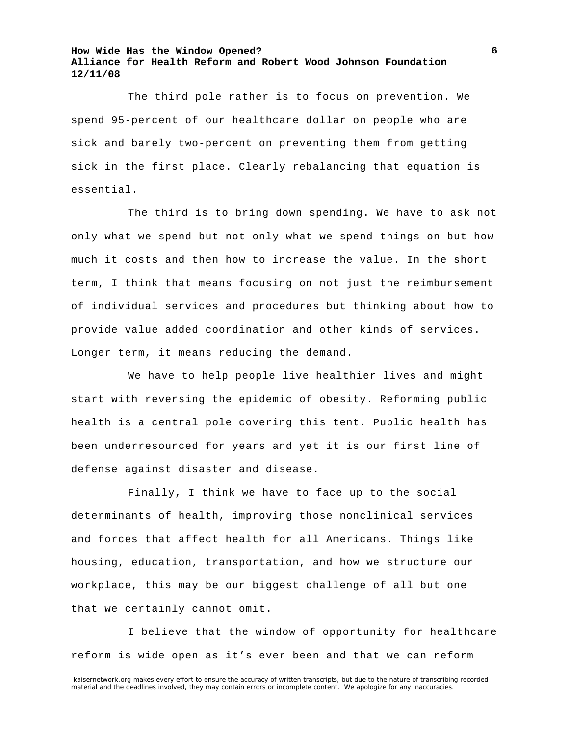The third pole rather is to focus on prevention. We spend 95-percent of our healthcare dollar on people who are sick and barely two-percent on preventing them from getting sick in the first place. Clearly rebalancing that equation is essential.

The third is to bring down spending. We have to ask not only what we spend but not only what we spend things on but how much it costs and then how to increase the value. In the short term, I think that means focusing on not just the reimbursement of individual services and procedures but thinking about how to provide value added coordination and other kinds of services. Longer term, it means reducing the demand.

We have to help people live healthier lives and might start with reversing the epidemic of obesity. Reforming public health is a central pole covering this tent. Public health has been underresourced for years and yet it is our first line of defense against disaster and disease.

Finally, I think we have to face up to the social determinants of health, improving those nonclinical services and forces that affect health for all Americans. Things like housing, education, transportation, and how we structure our workplace, this may be our biggest challenge of all but one that we certainly cannot omit.

I believe that the window of opportunity for healthcare reform is wide open as it's ever been and that we can reform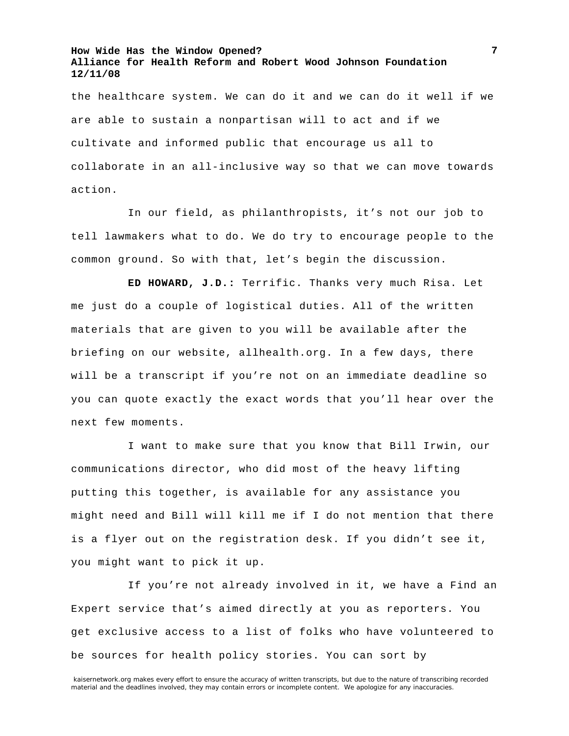the healthcare system. We can do it and we can do it well if we are able to sustain a nonpartisan will to act and if we cultivate and informed public that encourage us all to collaborate in an all-inclusive way so that we can move towards action.

In our field, as philanthropists, it's not our job to tell lawmakers what to do. We do try to encourage people to the common ground. So with that, let's begin the discussion.

**ED HOWARD, J.D.:** Terrific. Thanks very much Risa. Let me just do a couple of logistical duties. All of the written materials that are given to you will be available after the briefing on our website, allhealth.org. In a few days, there will be a transcript if you're not on an immediate deadline so you can quote exactly the exact words that you'll hear over the next few moments.

I want to make sure that you know that Bill Irwin, our communications director, who did most of the heavy lifting putting this together, is available for any assistance you might need and Bill will kill me if I do not mention that there is a flyer out on the registration desk. If you didn't see it, you might want to pick it up.

If you're not already involved in it, we have a Find an Expert service that's aimed directly at you as reporters. You get exclusive access to a list of folks who have volunteered to be sources for health policy stories. You can sort by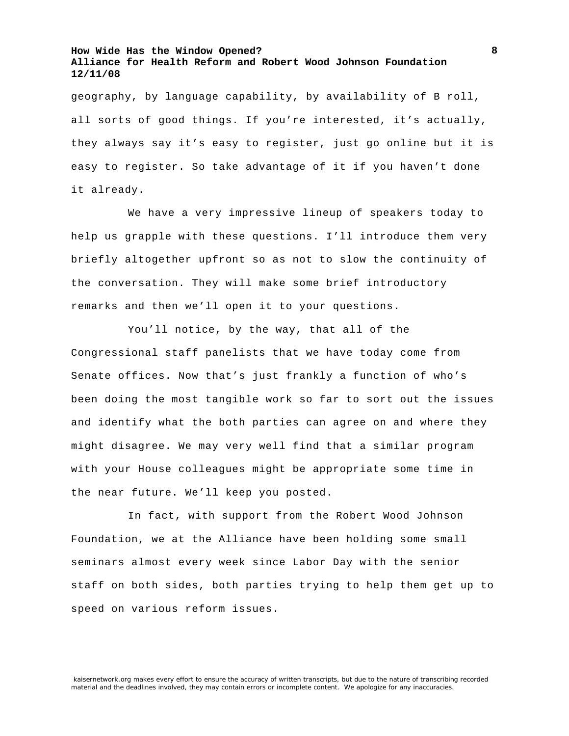geography, by language capability, by availability of B roll, all sorts of good things. If you're interested, it's actually, they always say it's easy to register, just go online but it is easy to register. So take advantage of it if you haven't done it already.

We have a very impressive lineup of speakers today to help us grapple with these questions. I'll introduce them very briefly altogether upfront so as not to slow the continuity of the conversation. They will make some brief introductory remarks and then we'll open it to your questions.

You'll notice, by the way, that all of the Congressional staff panelists that we have today come from Senate offices. Now that's just frankly a function of who's been doing the most tangible work so far to sort out the issues and identify what the both parties can agree on and where they might disagree. We may very well find that a similar program with your House colleagues might be appropriate some time in the near future. We'll keep you posted.

In fact, with support from the Robert Wood Johnson Foundation, we at the Alliance have been holding some small seminars almost every week since Labor Day with the senior staff on both sides, both parties trying to help them get up to speed on various reform issues.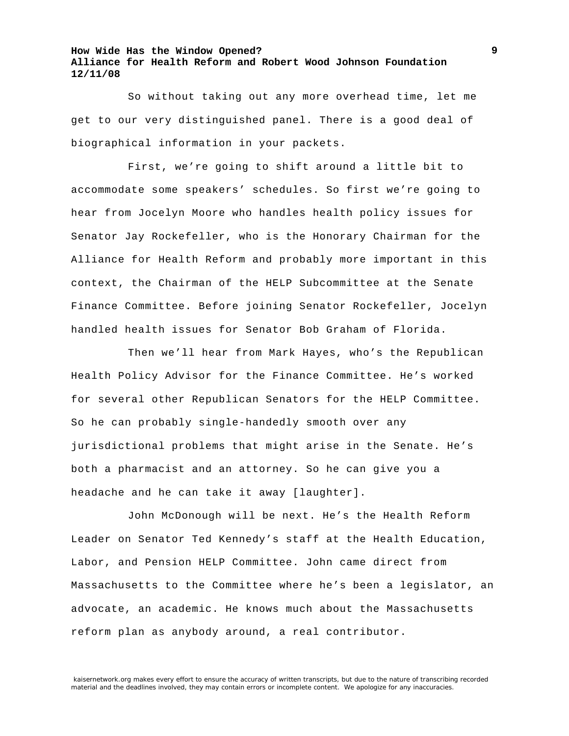So without taking out any more overhead time, let me get to our very distinguished panel. There is a good deal of biographical information in your packets.

First, we're going to shift around a little bit to accommodate some speakers' schedules. So first we're going to hear from Jocelyn Moore who handles health policy issues for Senator Jay Rockefeller, who is the Honorary Chairman for the Alliance for Health Reform and probably more important in this context, the Chairman of the HELP Subcommittee at the Senate Finance Committee. Before joining Senator Rockefeller, Jocelyn handled health issues for Senator Bob Graham of Florida.

Then we'll hear from Mark Hayes, who's the Republican Health Policy Advisor for the Finance Committee. He's worked for several other Republican Senators for the HELP Committee. So he can probably single-handedly smooth over any jurisdictional problems that might arise in the Senate. He's both a pharmacist and an attorney. So he can give you a headache and he can take it away [laughter].

John McDonough will be next. He's the Health Reform Leader on Senator Ted Kennedy's staff at the Health Education, Labor, and Pension HELP Committee. John came direct from Massachusetts to the Committee where he's been a legislator, an advocate, an academic. He knows much about the Massachusetts reform plan as anybody around, a real contributor.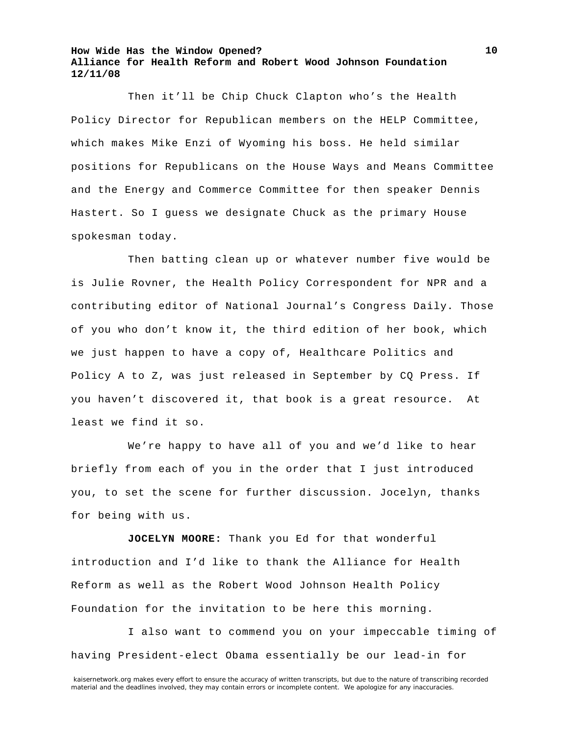Then it'll be Chip Chuck Clapton who's the Health Policy Director for Republican members on the HELP Committee, which makes Mike Enzi of Wyoming his boss. He held similar positions for Republicans on the House Ways and Means Committee and the Energy and Commerce Committee for then speaker Dennis Hastert. So I guess we designate Chuck as the primary House spokesman today.

Then batting clean up or whatever number five would be is Julie Rovner, the Health Policy Correspondent for NPR and a contributing editor of National Journal's Congress Daily. Those of you who don't know it, the third edition of her book, which we just happen to have a copy of, Healthcare Politics and Policy A to Z, was just released in September by CQ Press. If you haven't discovered it, that book is a great resource. At least we find it so.

We're happy to have all of you and we'd like to hear briefly from each of you in the order that I just introduced you, to set the scene for further discussion. Jocelyn, thanks for being with us.

**JOCELYN MOORE:** Thank you Ed for that wonderful introduction and I'd like to thank the Alliance for Health Reform as well as the Robert Wood Johnson Health Policy Foundation for the invitation to be here this morning.

I also want to commend you on your impeccable timing of having President-elect Obama essentially be our lead-in for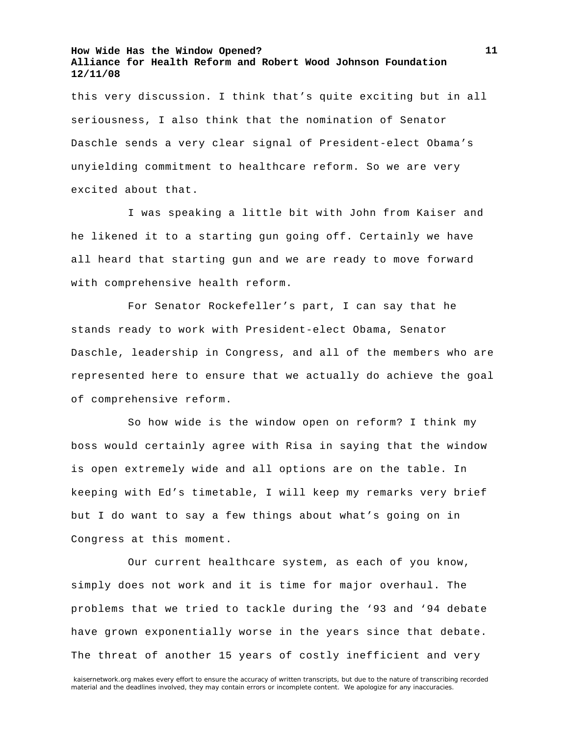this very discussion. I think that's quite exciting but in all seriousness, I also think that the nomination of Senator Daschle sends a very clear signal of President-elect Obama's unyielding commitment to healthcare reform. So we are very excited about that.

I was speaking a little bit with John from Kaiser and he likened it to a starting gun going off. Certainly we have all heard that starting gun and we are ready to move forward with comprehensive health reform.

For Senator Rockefeller's part, I can say that he stands ready to work with President-elect Obama, Senator Daschle, leadership in Congress, and all of the members who are represented here to ensure that we actually do achieve the goal of comprehensive reform.

So how wide is the window open on reform? I think my boss would certainly agree with Risa in saying that the window is open extremely wide and all options are on the table. In keeping with Ed's timetable, I will keep my remarks very brief but I do want to say a few things about what's going on in Congress at this moment.

Our current healthcare system, as each of you know, simply does not work and it is time for major overhaul. The problems that we tried to tackle during the '93 and '94 debate have grown exponentially worse in the years since that debate. The threat of another 15 years of costly inefficient and very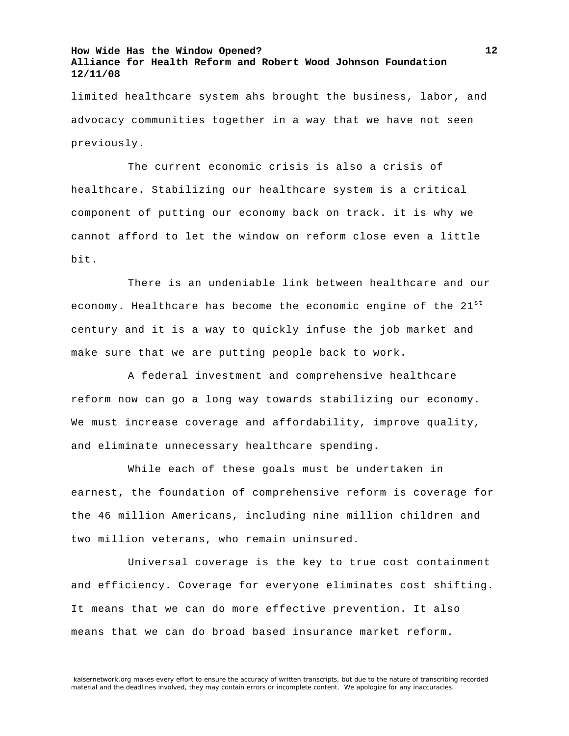limited healthcare system ahs brought the business, labor, and advocacy communities together in a way that we have not seen previously.

The current economic crisis is also a crisis of healthcare. Stabilizing our healthcare system is a critical component of putting our economy back on track. it is why we cannot afford to let the window on reform close even a little bit.

There is an undeniable link between healthcare and our economy. Healthcare has become the economic engine of the  $21^{st}$ century and it is a way to quickly infuse the job market and make sure that we are putting people back to work.

A federal investment and comprehensive healthcare reform now can go a long way towards stabilizing our economy. We must increase coverage and affordability, improve quality, and eliminate unnecessary healthcare spending.

While each of these goals must be undertaken in earnest, the foundation of comprehensive reform is coverage for the 46 million Americans, including nine million children and two million veterans, who remain uninsured.

Universal coverage is the key to true cost containment and efficiency. Coverage for everyone eliminates cost shifting. It means that we can do more effective prevention. It also means that we can do broad based insurance market reform.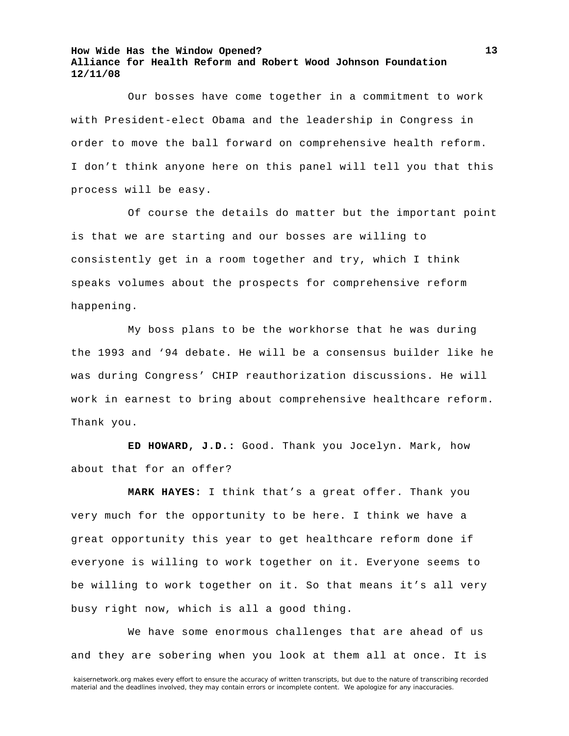Our bosses have come together in a commitment to work with President-elect Obama and the leadership in Congress in order to move the ball forward on comprehensive health reform. I don't think anyone here on this panel will tell you that this process will be easy.

Of course the details do matter but the important point is that we are starting and our bosses are willing to consistently get in a room together and try, which I think speaks volumes about the prospects for comprehensive reform happening.

My boss plans to be the workhorse that he was during the 1993 and '94 debate. He will be a consensus builder like he was during Congress' CHIP reauthorization discussions. He will work in earnest to bring about comprehensive healthcare reform. Thank you.

**ED HOWARD, J.D.:** Good. Thank you Jocelyn. Mark, how about that for an offer?

**MARK HAYES:** I think that's a great offer. Thank you very much for the opportunity to be here. I think we have a great opportunity this year to get healthcare reform done if everyone is willing to work together on it. Everyone seems to be willing to work together on it. So that means it's all very busy right now, which is all a good thing.

We have some enormous challenges that are ahead of us and they are sobering when you look at them all at once. It is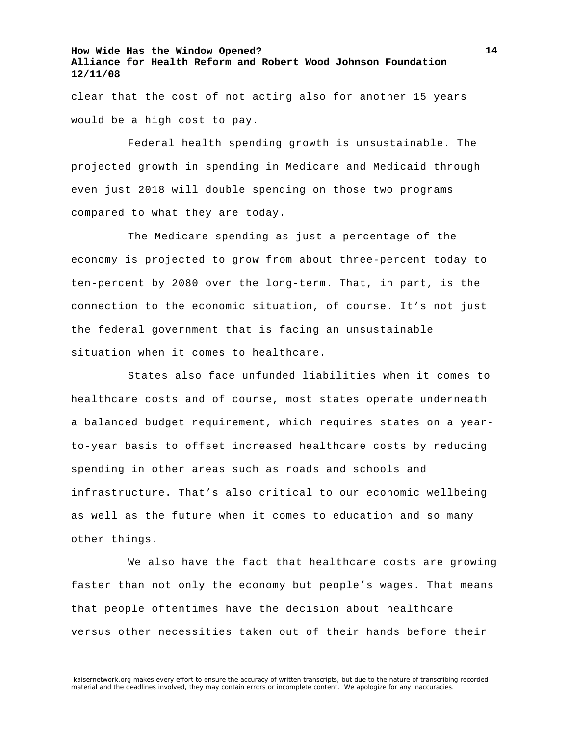clear that the cost of not acting also for another 15 years would be a high cost to pay.

Federal health spending growth is unsustainable. The projected growth in spending in Medicare and Medicaid through even just 2018 will double spending on those two programs compared to what they are today.

The Medicare spending as just a percentage of the economy is projected to grow from about three-percent today to ten-percent by 2080 over the long-term. That, in part, is the connection to the economic situation, of course. It's not just the federal government that is facing an unsustainable situation when it comes to healthcare.

States also face unfunded liabilities when it comes to healthcare costs and of course, most states operate underneath a balanced budget requirement, which requires states on a yearto-year basis to offset increased healthcare costs by reducing spending in other areas such as roads and schools and infrastructure. That's also critical to our economic wellbeing as well as the future when it comes to education and so many other things.

We also have the fact that healthcare costs are growing faster than not only the economy but people's wages. That means that people oftentimes have the decision about healthcare versus other necessities taken out of their hands before their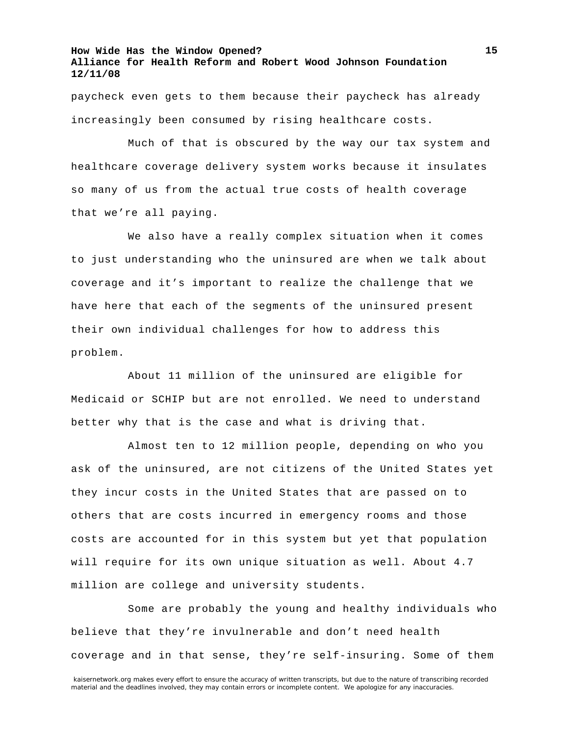paycheck even gets to them because their paycheck has already increasingly been consumed by rising healthcare costs.

Much of that is obscured by the way our tax system and healthcare coverage delivery system works because it insulates so many of us from the actual true costs of health coverage that we're all paying.

We also have a really complex situation when it comes to just understanding who the uninsured are when we talk about coverage and it's important to realize the challenge that we have here that each of the segments of the uninsured present their own individual challenges for how to address this problem.

About 11 million of the uninsured are eligible for Medicaid or SCHIP but are not enrolled. We need to understand better why that is the case and what is driving that.

Almost ten to 12 million people, depending on who you ask of the uninsured, are not citizens of the United States yet they incur costs in the United States that are passed on to others that are costs incurred in emergency rooms and those costs are accounted for in this system but yet that population will require for its own unique situation as well. About 4.7 million are college and university students.

Some are probably the young and healthy individuals who believe that they're invulnerable and don't need health coverage and in that sense, they're self-insuring. Some of them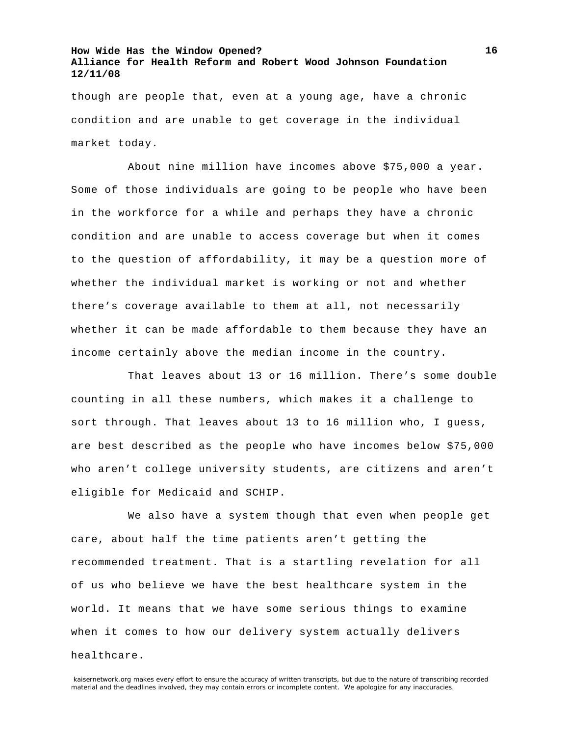though are people that, even at a young age, have a chronic condition and are unable to get coverage in the individual market today.

About nine million have incomes above \$75,000 a year. Some of those individuals are going to be people who have been in the workforce for a while and perhaps they have a chronic condition and are unable to access coverage but when it comes to the question of affordability, it may be a question more of whether the individual market is working or not and whether there's coverage available to them at all, not necessarily whether it can be made affordable to them because they have an income certainly above the median income in the country.

That leaves about 13 or 16 million. There's some double counting in all these numbers, which makes it a challenge to sort through. That leaves about 13 to 16 million who, I guess, are best described as the people who have incomes below \$75,000 who aren't college university students, are citizens and aren't eligible for Medicaid and SCHIP.

We also have a system though that even when people get care, about half the time patients aren't getting the recommended treatment. That is a startling revelation for all of us who believe we have the best healthcare system in the world. It means that we have some serious things to examine when it comes to how our delivery system actually delivers healthcare.

kaisernetwork.org makes every effort to ensure the accuracy of written transcripts, but due to the nature of transcribing recorded material and the deadlines involved, they may contain errors or incomplete content. We apologize for any inaccuracies.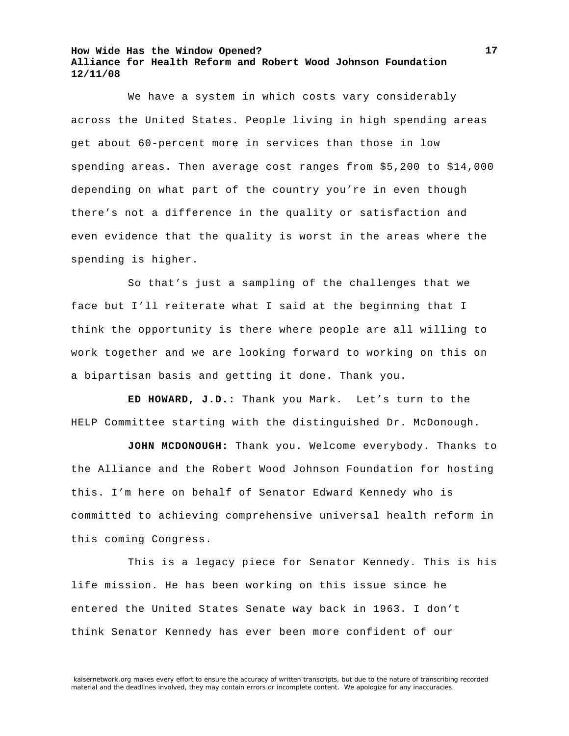We have a system in which costs vary considerably across the United States. People living in high spending areas get about 60-percent more in services than those in low spending areas. Then average cost ranges from \$5,200 to \$14,000 depending on what part of the country you're in even though there's not a difference in the quality or satisfaction and even evidence that the quality is worst in the areas where the spending is higher.

So that's just a sampling of the challenges that we face but I'll reiterate what I said at the beginning that I think the opportunity is there where people are all willing to work together and we are looking forward to working on this on a bipartisan basis and getting it done. Thank you.

**ED HOWARD, J.D.:** Thank you Mark. Let's turn to the HELP Committee starting with the distinguished Dr. McDonough.

**JOHN MCDONOUGH:** Thank you. Welcome everybody. Thanks to the Alliance and the Robert Wood Johnson Foundation for hosting this. I'm here on behalf of Senator Edward Kennedy who is committed to achieving comprehensive universal health reform in this coming Congress.

This is a legacy piece for Senator Kennedy. This is his life mission. He has been working on this issue since he entered the United States Senate way back in 1963. I don't think Senator Kennedy has ever been more confident of our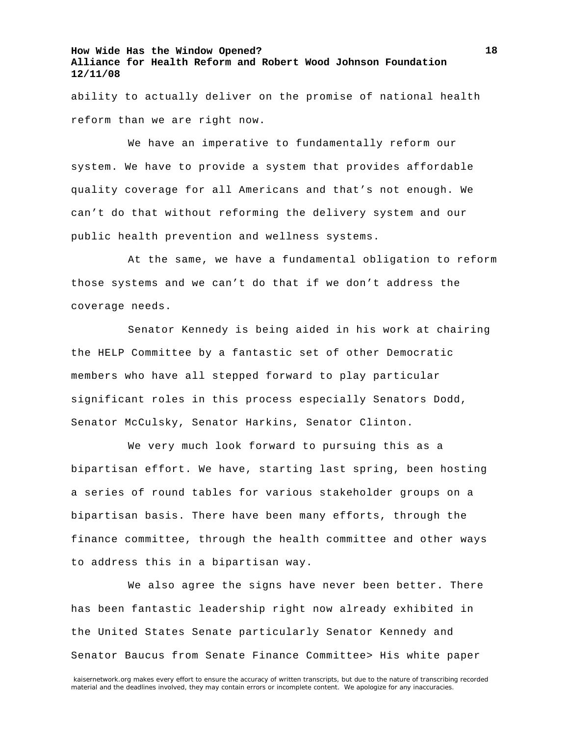ability to actually deliver on the promise of national health reform than we are right now.

We have an imperative to fundamentally reform our system. We have to provide a system that provides affordable quality coverage for all Americans and that's not enough. We can't do that without reforming the delivery system and our public health prevention and wellness systems.

At the same, we have a fundamental obligation to reform those systems and we can't do that if we don't address the coverage needs.

Senator Kennedy is being aided in his work at chairing the HELP Committee by a fantastic set of other Democratic members who have all stepped forward to play particular significant roles in this process especially Senators Dodd, Senator McCulsky, Senator Harkins, Senator Clinton.

We very much look forward to pursuing this as a bipartisan effort. We have, starting last spring, been hosting a series of round tables for various stakeholder groups on a bipartisan basis. There have been many efforts, through the finance committee, through the health committee and other ways to address this in a bipartisan way.

We also agree the signs have never been better. There has been fantastic leadership right now already exhibited in the United States Senate particularly Senator Kennedy and Senator Baucus from Senate Finance Committee> His white paper

kaisernetwork.org makes every effort to ensure the accuracy of written transcripts, but due to the nature of transcribing recorded material and the deadlines involved, they may contain errors or incomplete content. We apologize for any inaccuracies.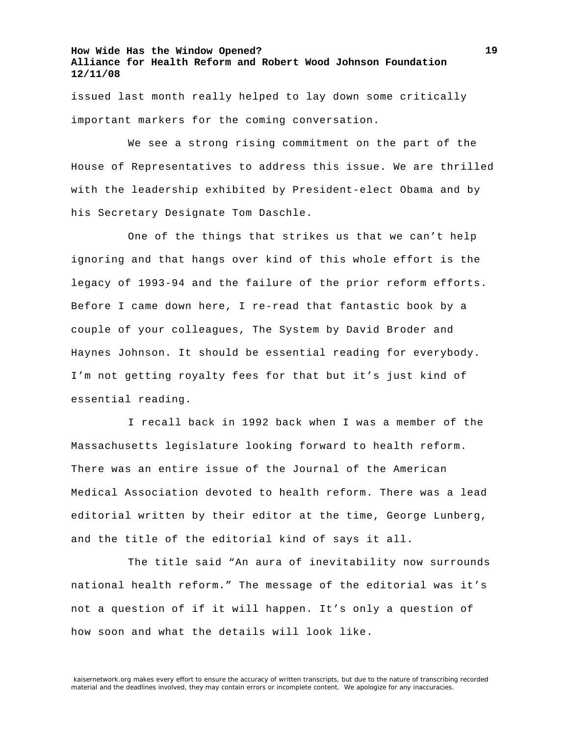issued last month really helped to lay down some critically important markers for the coming conversation.

We see a strong rising commitment on the part of the House of Representatives to address this issue. We are thrilled with the leadership exhibited by President-elect Obama and by his Secretary Designate Tom Daschle.

One of the things that strikes us that we can't help ignoring and that hangs over kind of this whole effort is the legacy of 1993-94 and the failure of the prior reform efforts. Before I came down here, I re-read that fantastic book by a couple of your colleagues, The System by David Broder and Haynes Johnson. It should be essential reading for everybody. I'm not getting royalty fees for that but it's just kind of essential reading.

I recall back in 1992 back when I was a member of the Massachusetts legislature looking forward to health reform. There was an entire issue of the Journal of the American Medical Association devoted to health reform. There was a lead editorial written by their editor at the time, George Lunberg, and the title of the editorial kind of says it all.

The title said "An aura of inevitability now surrounds national health reform." The message of the editorial was it's not a question of if it will happen. It's only a question of how soon and what the details will look like.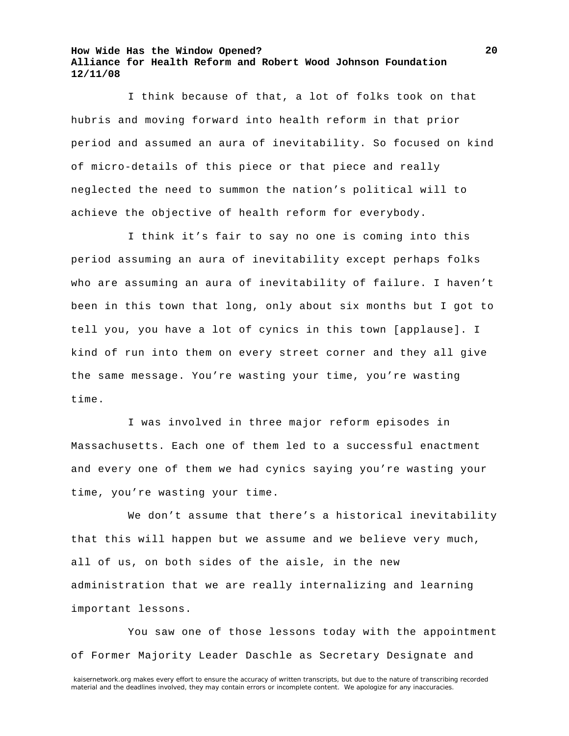I think because of that, a lot of folks took on that hubris and moving forward into health reform in that prior period and assumed an aura of inevitability. So focused on kind of micro-details of this piece or that piece and really neglected the need to summon the nation's political will to achieve the objective of health reform for everybody.

I think it's fair to say no one is coming into this period assuming an aura of inevitability except perhaps folks who are assuming an aura of inevitability of failure. I haven't been in this town that long, only about six months but I got to tell you, you have a lot of cynics in this town [applause]. I kind of run into them on every street corner and they all give the same message. You're wasting your time, you're wasting time.

I was involved in three major reform episodes in Massachusetts. Each one of them led to a successful enactment and every one of them we had cynics saying you're wasting your time, you're wasting your time.

We don't assume that there's a historical inevitability that this will happen but we assume and we believe very much, all of us, on both sides of the aisle, in the new administration that we are really internalizing and learning important lessons.

You saw one of those lessons today with the appointment of Former Majority Leader Daschle as Secretary Designate and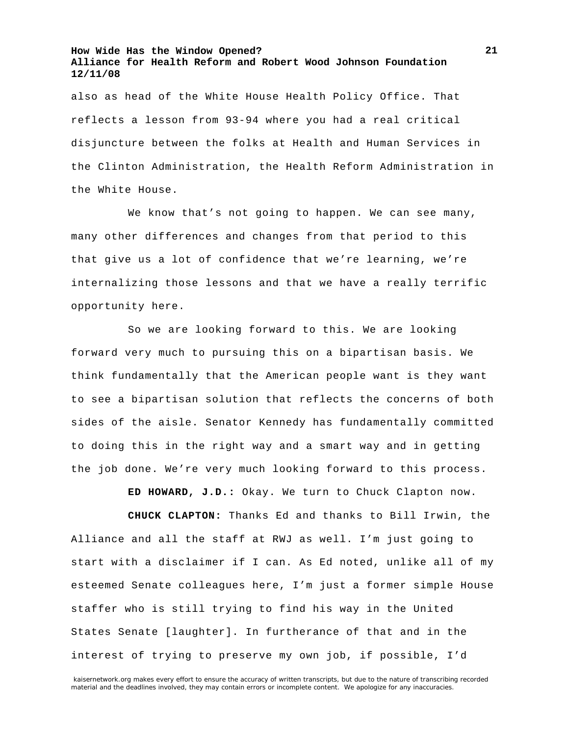also as head of the White House Health Policy Office. That reflects a lesson from 93-94 where you had a real critical disjuncture between the folks at Health and Human Services in the Clinton Administration, the Health Reform Administration in the White House.

We know that's not going to happen. We can see many, many other differences and changes from that period to this that give us a lot of confidence that we're learning, we're internalizing those lessons and that we have a really terrific opportunity here.

So we are looking forward to this. We are looking forward very much to pursuing this on a bipartisan basis. We think fundamentally that the American people want is they want to see a bipartisan solution that reflects the concerns of both sides of the aisle. Senator Kennedy has fundamentally committed to doing this in the right way and a smart way and in getting the job done. We're very much looking forward to this process.

**ED HOWARD, J.D.:** Okay. We turn to Chuck Clapton now.

**CHUCK CLAPTON:** Thanks Ed and thanks to Bill Irwin, the Alliance and all the staff at RWJ as well. I'm just going to start with a disclaimer if I can. As Ed noted, unlike all of my esteemed Senate colleagues here, I'm just a former simple House staffer who is still trying to find his way in the United States Senate [laughter]. In furtherance of that and in the interest of trying to preserve my own job, if possible, I'd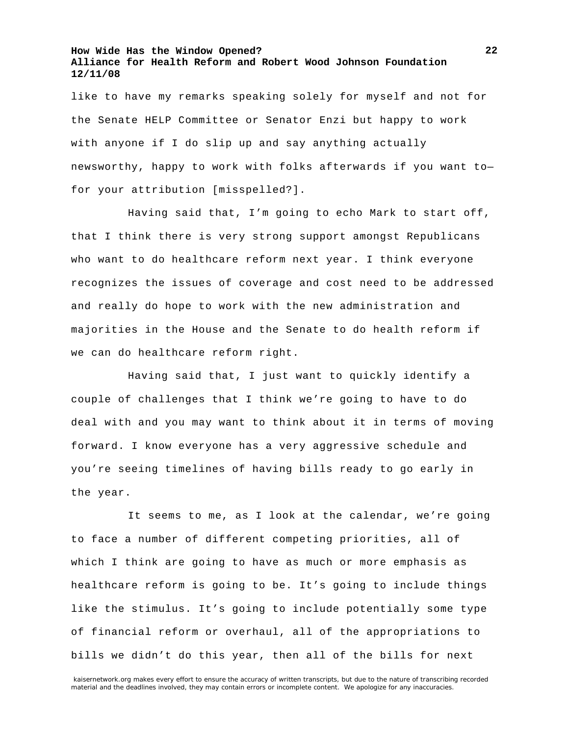like to have my remarks speaking solely for myself and not for the Senate HELP Committee or Senator Enzi but happy to work with anyone if I do slip up and say anything actually newsworthy, happy to work with folks afterwards if you want to for your attribution [misspelled?].

Having said that, I'm going to echo Mark to start off, that I think there is very strong support amongst Republicans who want to do healthcare reform next year. I think everyone recognizes the issues of coverage and cost need to be addressed and really do hope to work with the new administration and majorities in the House and the Senate to do health reform if we can do healthcare reform right.

Having said that, I just want to quickly identify a couple of challenges that I think we're going to have to do deal with and you may want to think about it in terms of moving forward. I know everyone has a very aggressive schedule and you're seeing timelines of having bills ready to go early in the year.

It seems to me, as I look at the calendar, we're going to face a number of different competing priorities, all of which I think are going to have as much or more emphasis as healthcare reform is going to be. It's going to include things like the stimulus. It's going to include potentially some type of financial reform or overhaul, all of the appropriations to bills we didn't do this year, then all of the bills for next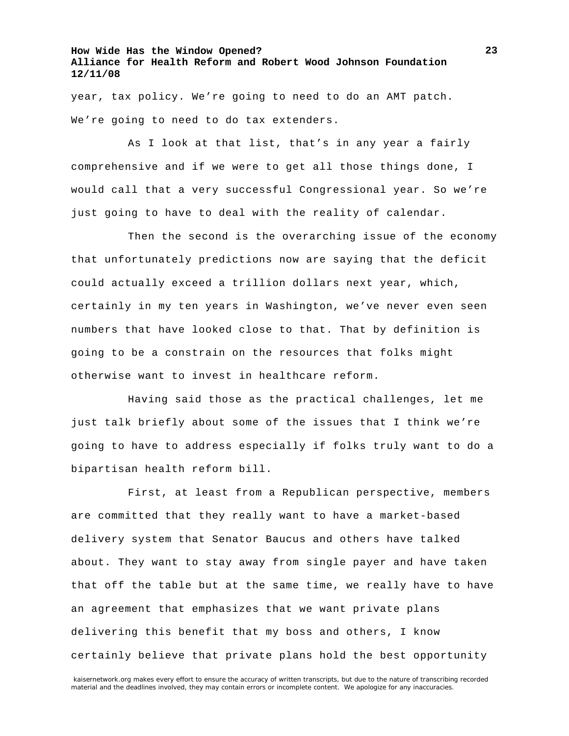year, tax policy. We're going to need to do an AMT patch. We're going to need to do tax extenders.

As I look at that list, that's in any year a fairly comprehensive and if we were to get all those things done, I would call that a very successful Congressional year. So we're just going to have to deal with the reality of calendar.

Then the second is the overarching issue of the economy that unfortunately predictions now are saying that the deficit could actually exceed a trillion dollars next year, which, certainly in my ten years in Washington, we've never even seen numbers that have looked close to that. That by definition is going to be a constrain on the resources that folks might otherwise want to invest in healthcare reform.

Having said those as the practical challenges, let me just talk briefly about some of the issues that I think we're going to have to address especially if folks truly want to do a bipartisan health reform bill.

First, at least from a Republican perspective, members are committed that they really want to have a market-based delivery system that Senator Baucus and others have talked about. They want to stay away from single payer and have taken that off the table but at the same time, we really have to have an agreement that emphasizes that we want private plans delivering this benefit that my boss and others, I know certainly believe that private plans hold the best opportunity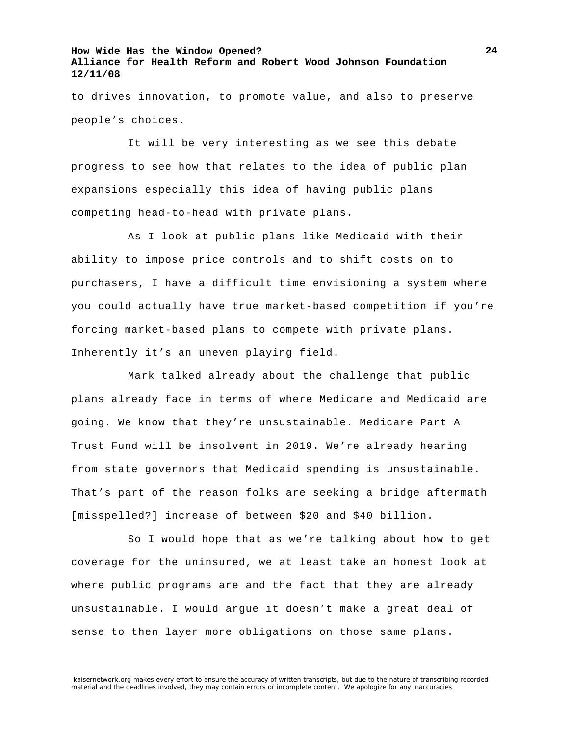to drives innovation, to promote value, and also to preserve people's choices.

It will be very interesting as we see this debate progress to see how that relates to the idea of public plan expansions especially this idea of having public plans competing head-to-head with private plans.

As I look at public plans like Medicaid with their ability to impose price controls and to shift costs on to purchasers, I have a difficult time envisioning a system where you could actually have true market-based competition if you're forcing market-based plans to compete with private plans. Inherently it's an uneven playing field.

Mark talked already about the challenge that public plans already face in terms of where Medicare and Medicaid are going. We know that they're unsustainable. Medicare Part A Trust Fund will be insolvent in 2019. We're already hearing from state governors that Medicaid spending is unsustainable. That's part of the reason folks are seeking a bridge aftermath [misspelled?] increase of between \$20 and \$40 billion.

So I would hope that as we're talking about how to get coverage for the uninsured, we at least take an honest look at where public programs are and the fact that they are already unsustainable. I would argue it doesn't make a great deal of sense to then layer more obligations on those same plans.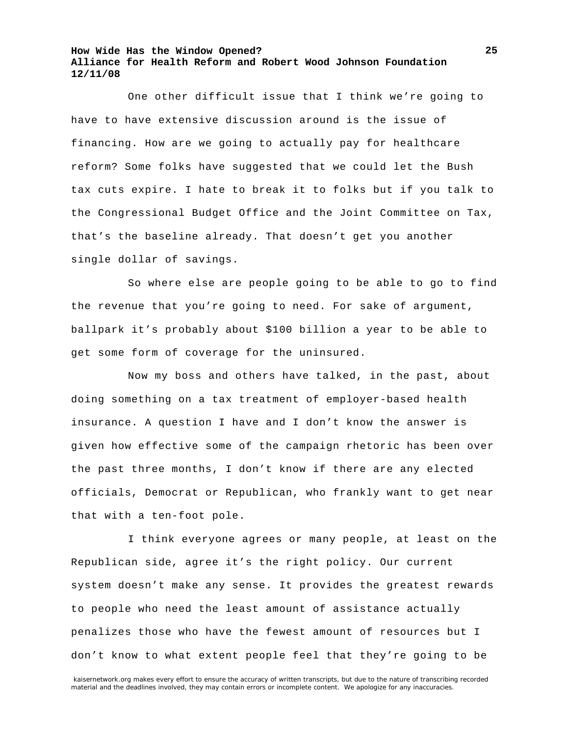One other difficult issue that I think we're going to have to have extensive discussion around is the issue of financing. How are we going to actually pay for healthcare reform? Some folks have suggested that we could let the Bush tax cuts expire. I hate to break it to folks but if you talk to the Congressional Budget Office and the Joint Committee on Tax, that's the baseline already. That doesn't get you another single dollar of savings.

So where else are people going to be able to go to find the revenue that you're going to need. For sake of argument, ballpark it's probably about \$100 billion a year to be able to get some form of coverage for the uninsured.

Now my boss and others have talked, in the past, about doing something on a tax treatment of employer-based health insurance. A question I have and I don't know the answer is given how effective some of the campaign rhetoric has been over the past three months, I don't know if there are any elected officials, Democrat or Republican, who frankly want to get near that with a ten-foot pole.

I think everyone agrees or many people, at least on the Republican side, agree it's the right policy. Our current system doesn't make any sense. It provides the greatest rewards to people who need the least amount of assistance actually penalizes those who have the fewest amount of resources but I don't know to what extent people feel that they're going to be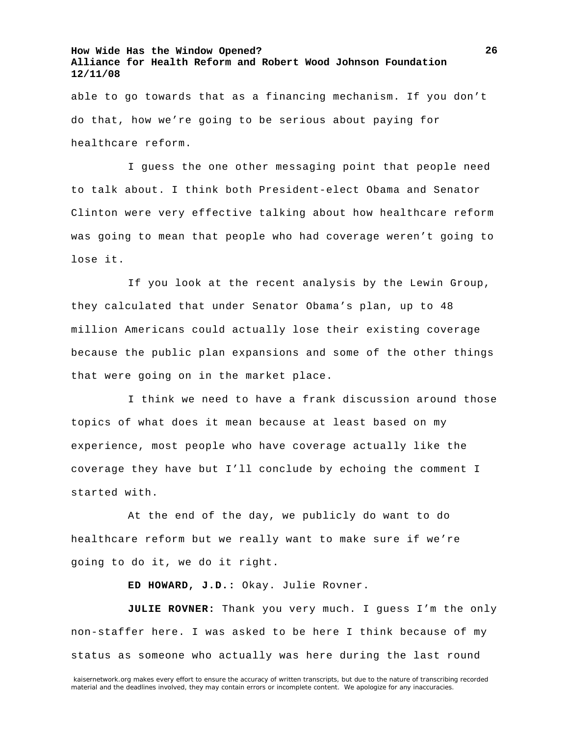able to go towards that as a financing mechanism. If you don't do that, how we're going to be serious about paying for healthcare reform.

I guess the one other messaging point that people need to talk about. I think both President-elect Obama and Senator Clinton were very effective talking about how healthcare reform was going to mean that people who had coverage weren't going to lose it.

If you look at the recent analysis by the Lewin Group, they calculated that under Senator Obama's plan, up to 48 million Americans could actually lose their existing coverage because the public plan expansions and some of the other things that were going on in the market place.

I think we need to have a frank discussion around those topics of what does it mean because at least based on my experience, most people who have coverage actually like the coverage they have but I'll conclude by echoing the comment I started with.

At the end of the day, we publicly do want to do healthcare reform but we really want to make sure if we're going to do it, we do it right.

**ED HOWARD, J.D.:** Okay. Julie Rovner.

**JULIE ROVNER:** Thank you very much. I guess I'm the only non-staffer here. I was asked to be here I think because of my status as someone who actually was here during the last round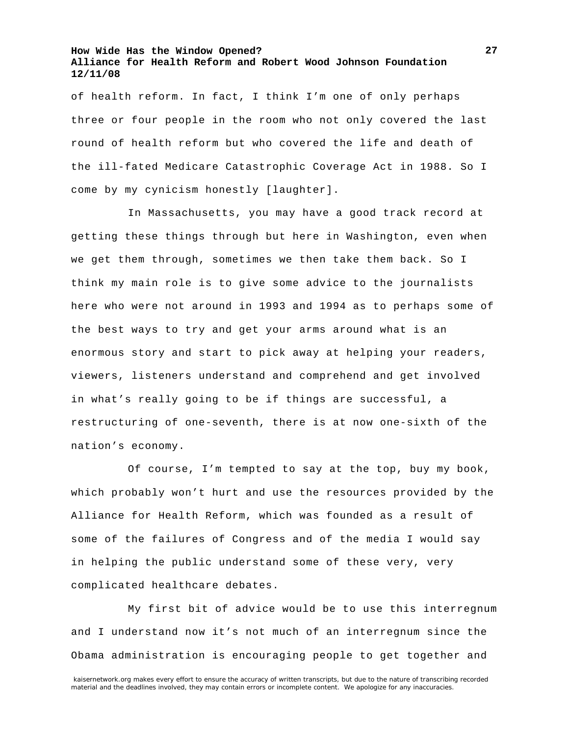of health reform. In fact, I think I'm one of only perhaps three or four people in the room who not only covered the last round of health reform but who covered the life and death of the ill-fated Medicare Catastrophic Coverage Act in 1988. So I come by my cynicism honestly [laughter].

In Massachusetts, you may have a good track record at getting these things through but here in Washington, even when we get them through, sometimes we then take them back. So I think my main role is to give some advice to the journalists here who were not around in 1993 and 1994 as to perhaps some of the best ways to try and get your arms around what is an enormous story and start to pick away at helping your readers, viewers, listeners understand and comprehend and get involved in what's really going to be if things are successful, a restructuring of one-seventh, there is at now one-sixth of the nation's economy.

Of course, I'm tempted to say at the top, buy my book, which probably won't hurt and use the resources provided by the Alliance for Health Reform, which was founded as a result of some of the failures of Congress and of the media I would say in helping the public understand some of these very, very complicated healthcare debates.

My first bit of advice would be to use this interregnum and I understand now it's not much of an interregnum since the Obama administration is encouraging people to get together and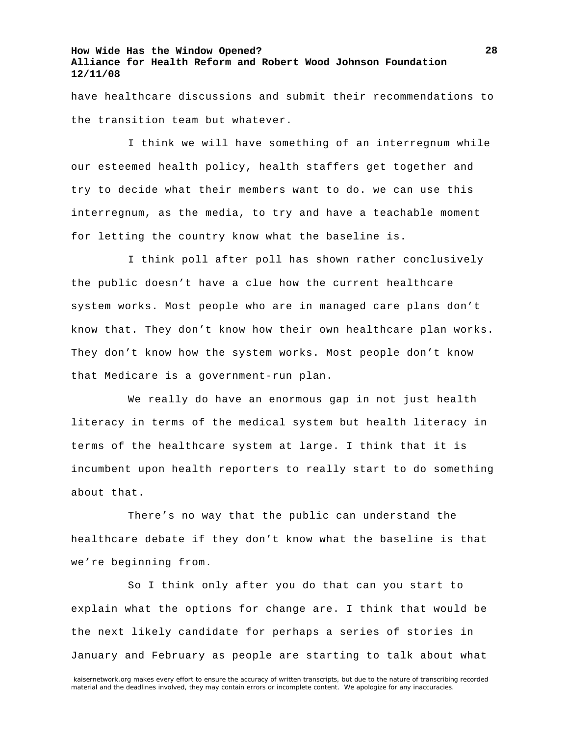have healthcare discussions and submit their recommendations to the transition team but whatever.

I think we will have something of an interregnum while our esteemed health policy, health staffers get together and try to decide what their members want to do. we can use this interregnum, as the media, to try and have a teachable moment for letting the country know what the baseline is.

I think poll after poll has shown rather conclusively the public doesn't have a clue how the current healthcare system works. Most people who are in managed care plans don't know that. They don't know how their own healthcare plan works. They don't know how the system works. Most people don't know that Medicare is a government-run plan.

We really do have an enormous gap in not just health literacy in terms of the medical system but health literacy in terms of the healthcare system at large. I think that it is incumbent upon health reporters to really start to do something about that.

There's no way that the public can understand the healthcare debate if they don't know what the baseline is that we're beginning from.

So I think only after you do that can you start to explain what the options for change are. I think that would be the next likely candidate for perhaps a series of stories in January and February as people are starting to talk about what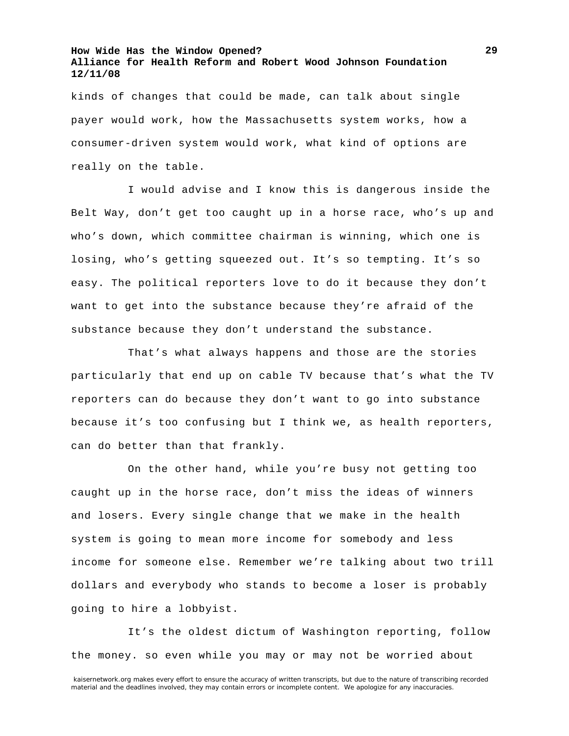kinds of changes that could be made, can talk about single payer would work, how the Massachusetts system works, how a consumer-driven system would work, what kind of options are really on the table.

I would advise and I know this is dangerous inside the Belt Way, don't get too caught up in a horse race, who's up and who's down, which committee chairman is winning, which one is losing, who's getting squeezed out. It's so tempting. It's so easy. The political reporters love to do it because they don't want to get into the substance because they're afraid of the substance because they don't understand the substance.

That's what always happens and those are the stories particularly that end up on cable TV because that's what the TV reporters can do because they don't want to go into substance because it's too confusing but I think we, as health reporters, can do better than that frankly.

On the other hand, while you're busy not getting too caught up in the horse race, don't miss the ideas of winners and losers. Every single change that we make in the health system is going to mean more income for somebody and less income for someone else. Remember we're talking about two trill dollars and everybody who stands to become a loser is probably going to hire a lobbyist.

It's the oldest dictum of Washington reporting, follow the money. so even while you may or may not be worried about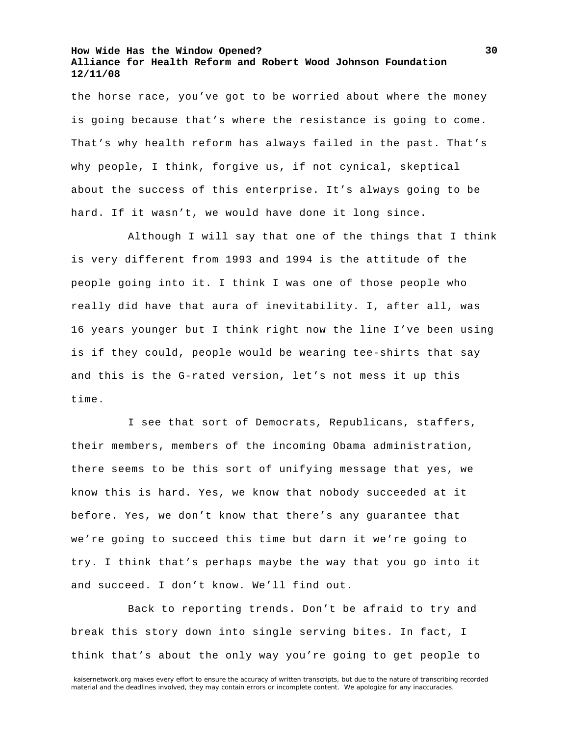the horse race, you've got to be worried about where the money is going because that's where the resistance is going to come. That's why health reform has always failed in the past. That's why people, I think, forgive us, if not cynical, skeptical about the success of this enterprise. It's always going to be hard. If it wasn't, we would have done it long since.

Although I will say that one of the things that I think is very different from 1993 and 1994 is the attitude of the people going into it. I think I was one of those people who really did have that aura of inevitability. I, after all, was 16 years younger but I think right now the line I've been using is if they could, people would be wearing tee-shirts that say and this is the G-rated version, let's not mess it up this time.

I see that sort of Democrats, Republicans, staffers, their members, members of the incoming Obama administration, there seems to be this sort of unifying message that yes, we know this is hard. Yes, we know that nobody succeeded at it before. Yes, we don't know that there's any guarantee that we're going to succeed this time but darn it we're going to try. I think that's perhaps maybe the way that you go into it and succeed. I don't know. We'll find out.

Back to reporting trends. Don't be afraid to try and break this story down into single serving bites. In fact, I think that's about the only way you're going to get people to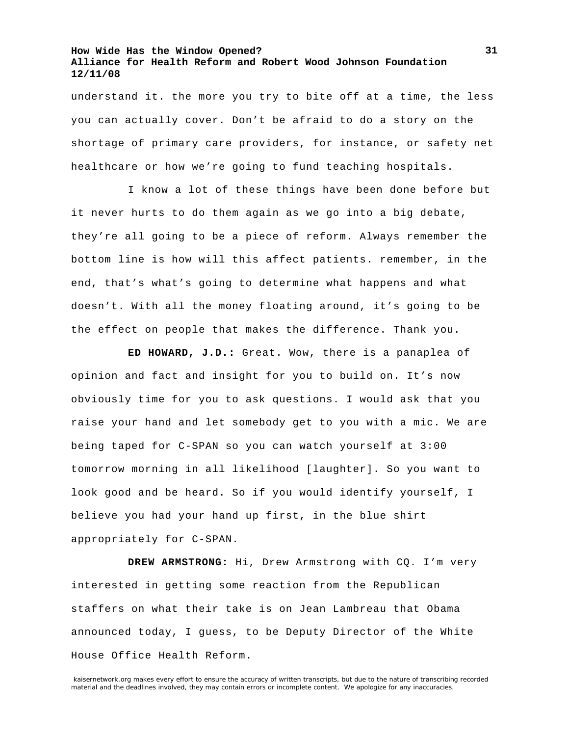understand it. the more you try to bite off at a time, the less you can actually cover. Don't be afraid to do a story on the shortage of primary care providers, for instance, or safety net healthcare or how we're going to fund teaching hospitals.

I know a lot of these things have been done before but it never hurts to do them again as we go into a big debate, they're all going to be a piece of reform. Always remember the bottom line is how will this affect patients. remember, in the end, that's what's going to determine what happens and what doesn't. With all the money floating around, it's going to be the effect on people that makes the difference. Thank you.

**ED HOWARD, J.D.:** Great. Wow, there is a panaplea of opinion and fact and insight for you to build on. It's now obviously time for you to ask questions. I would ask that you raise your hand and let somebody get to you with a mic. We are being taped for C-SPAN so you can watch yourself at 3:00 tomorrow morning in all likelihood [laughter]. So you want to look good and be heard. So if you would identify yourself, I believe you had your hand up first, in the blue shirt appropriately for C-SPAN.

**DREW ARMSTRONG:** Hi, Drew Armstrong with CQ. I'm very interested in getting some reaction from the Republican staffers on what their take is on Jean Lambreau that Obama announced today, I guess, to be Deputy Director of the White House Office Health Reform.

kaisernetwork.org makes every effort to ensure the accuracy of written transcripts, but due to the nature of transcribing recorded material and the deadlines involved, they may contain errors or incomplete content. We apologize for any inaccuracies.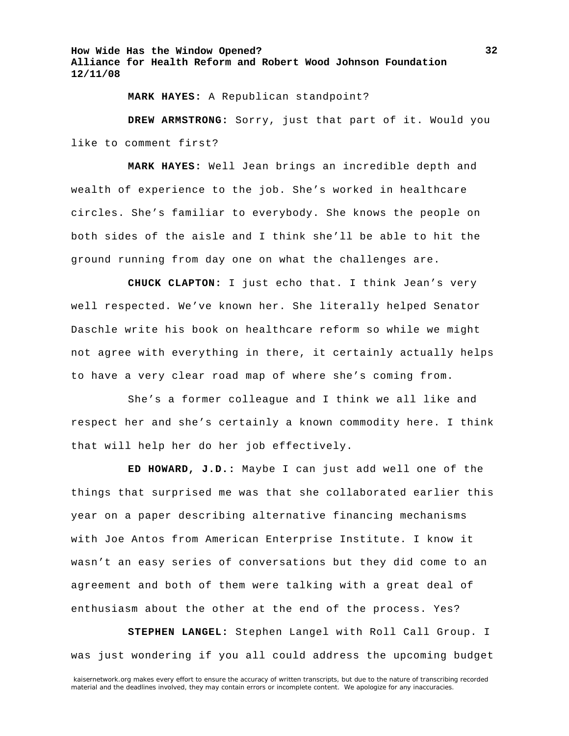**MARK HAYES:** A Republican standpoint?

**DREW ARMSTRONG:** Sorry, just that part of it. Would you like to comment first?

**MARK HAYES:** Well Jean brings an incredible depth and wealth of experience to the job. She's worked in healthcare circles. She's familiar to everybody. She knows the people on both sides of the aisle and I think she'll be able to hit the ground running from day one on what the challenges are.

**CHUCK CLAPTON:** I just echo that. I think Jean's very well respected. We've known her. She literally helped Senator Daschle write his book on healthcare reform so while we might not agree with everything in there, it certainly actually helps to have a very clear road map of where she's coming from.

She's a former colleague and I think we all like and respect her and she's certainly a known commodity here. I think that will help her do her job effectively.

**ED HOWARD, J.D.:** Maybe I can just add well one of the things that surprised me was that she collaborated earlier this year on a paper describing alternative financing mechanisms with Joe Antos from American Enterprise Institute. I know it wasn't an easy series of conversations but they did come to an agreement and both of them were talking with a great deal of enthusiasm about the other at the end of the process. Yes?

**STEPHEN LANGEL:** Stephen Langel with Roll Call Group. I was just wondering if you all could address the upcoming budget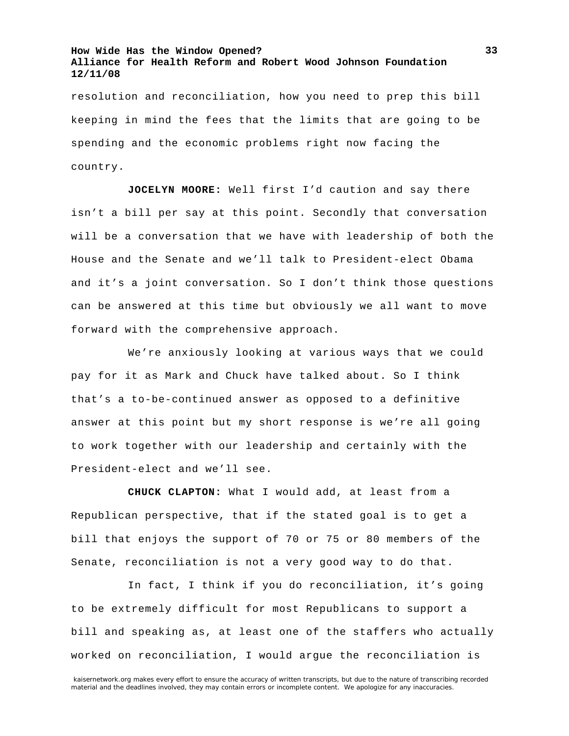resolution and reconciliation, how you need to prep this bill keeping in mind the fees that the limits that are going to be spending and the economic problems right now facing the country.

**JOCELYN MOORE:** Well first I'd caution and say there isn't a bill per say at this point. Secondly that conversation will be a conversation that we have with leadership of both the House and the Senate and we'll talk to President-elect Obama and it's a joint conversation. So I don't think those questions can be answered at this time but obviously we all want to move forward with the comprehensive approach.

We're anxiously looking at various ways that we could pay for it as Mark and Chuck have talked about. So I think that's a to-be-continued answer as opposed to a definitive answer at this point but my short response is we're all going to work together with our leadership and certainly with the President-elect and we'll see.

**CHUCK CLAPTON:** What I would add, at least from a Republican perspective, that if the stated goal is to get a bill that enjoys the support of 70 or 75 or 80 members of the Senate, reconciliation is not a very good way to do that.

In fact, I think if you do reconciliation, it's going to be extremely difficult for most Republicans to support a bill and speaking as, at least one of the staffers who actually worked on reconciliation, I would argue the reconciliation is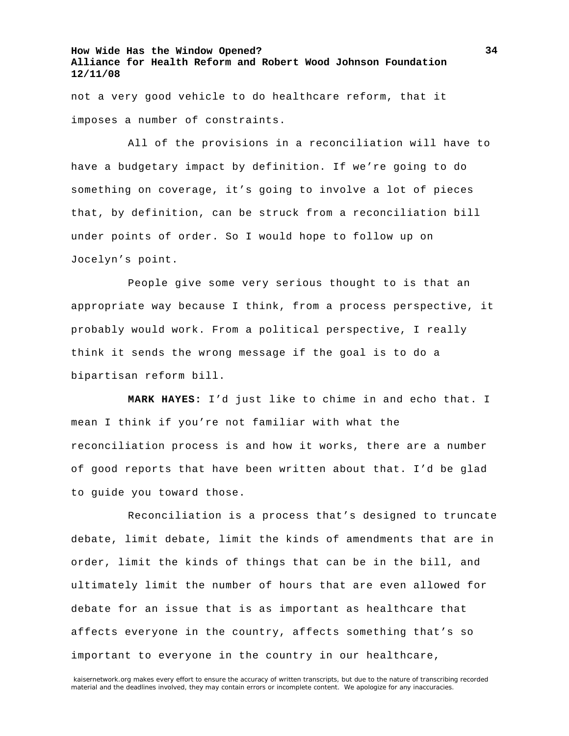not a very good vehicle to do healthcare reform, that it imposes a number of constraints.

All of the provisions in a reconciliation will have to have a budgetary impact by definition. If we're going to do something on coverage, it's going to involve a lot of pieces that, by definition, can be struck from a reconciliation bill under points of order. So I would hope to follow up on Jocelyn's point.

People give some very serious thought to is that an appropriate way because I think, from a process perspective, it probably would work. From a political perspective, I really think it sends the wrong message if the goal is to do a bipartisan reform bill.

**MARK HAYES:** I'd just like to chime in and echo that. I mean I think if you're not familiar with what the reconciliation process is and how it works, there are a number of good reports that have been written about that. I'd be glad to guide you toward those.

Reconciliation is a process that's designed to truncate debate, limit debate, limit the kinds of amendments that are in order, limit the kinds of things that can be in the bill, and ultimately limit the number of hours that are even allowed for debate for an issue that is as important as healthcare that affects everyone in the country, affects something that's so important to everyone in the country in our healthcare,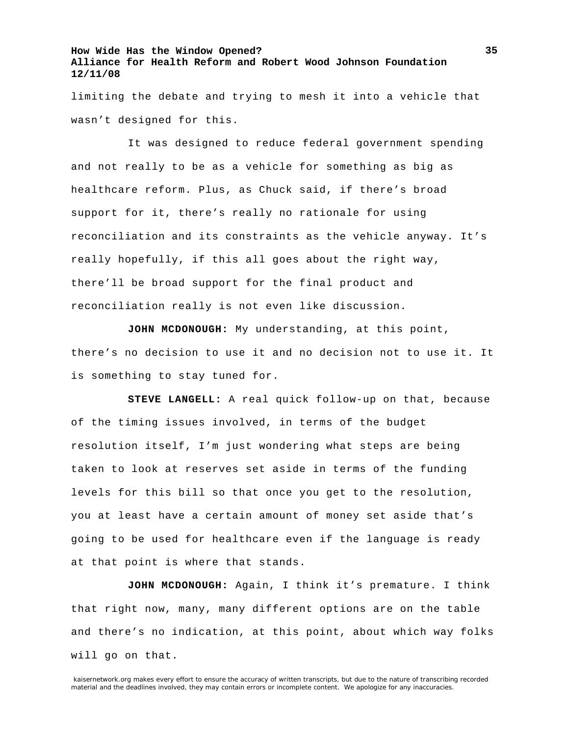limiting the debate and trying to mesh it into a vehicle that wasn't designed for this.

It was designed to reduce federal government spending and not really to be as a vehicle for something as big as healthcare reform. Plus, as Chuck said, if there's broad support for it, there's really no rationale for using reconciliation and its constraints as the vehicle anyway. It's really hopefully, if this all goes about the right way, there'll be broad support for the final product and reconciliation really is not even like discussion.

**JOHN MCDONOUGH:** My understanding, at this point, there's no decision to use it and no decision not to use it. It is something to stay tuned for.

**STEVE LANGELL:** A real quick follow-up on that, because of the timing issues involved, in terms of the budget resolution itself, I'm just wondering what steps are being taken to look at reserves set aside in terms of the funding levels for this bill so that once you get to the resolution, you at least have a certain amount of money set aside that's going to be used for healthcare even if the language is ready at that point is where that stands.

**JOHN MCDONOUGH:** Again, I think it's premature. I think that right now, many, many different options are on the table and there's no indication, at this point, about which way folks will go on that.

kaisernetwork.org makes every effort to ensure the accuracy of written transcripts, but due to the nature of transcribing recorded material and the deadlines involved, they may contain errors or incomplete content. We apologize for any inaccuracies.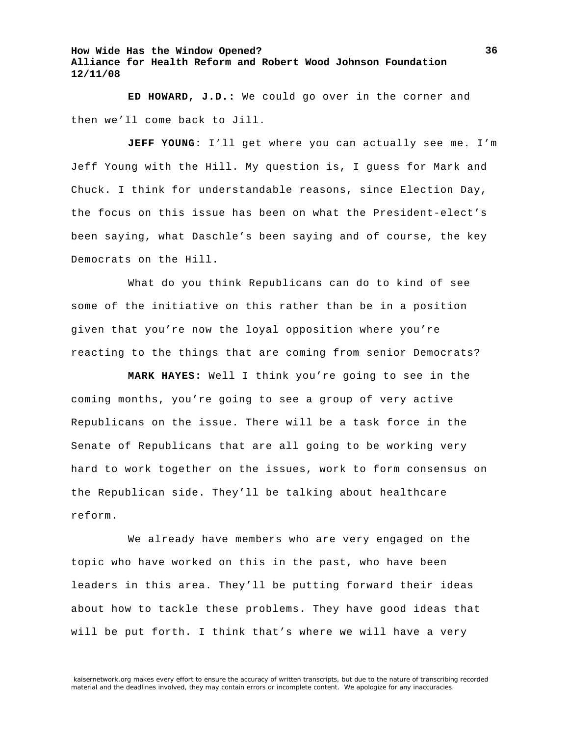**ED HOWARD, J.D.:** We could go over in the corner and then we'll come back to Jill.

**JEFF YOUNG:** I'll get where you can actually see me. I'm Jeff Young with the Hill. My question is, I guess for Mark and Chuck. I think for understandable reasons, since Election Day, the focus on this issue has been on what the President-elect's been saying, what Daschle's been saying and of course, the key Democrats on the Hill.

What do you think Republicans can do to kind of see some of the initiative on this rather than be in a position given that you're now the loyal opposition where you're reacting to the things that are coming from senior Democrats?

**MARK HAYES:** Well I think you're going to see in the coming months, you're going to see a group of very active Republicans on the issue. There will be a task force in the Senate of Republicans that are all going to be working very hard to work together on the issues, work to form consensus on the Republican side. They'll be talking about healthcare reform.

We already have members who are very engaged on the topic who have worked on this in the past, who have been leaders in this area. They'll be putting forward their ideas about how to tackle these problems. They have good ideas that will be put forth. I think that's where we will have a very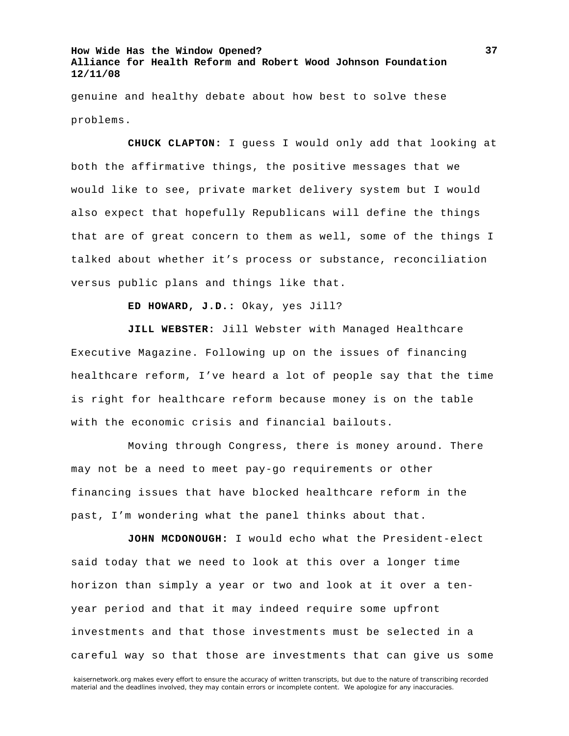genuine and healthy debate about how best to solve these problems.

**CHUCK CLAPTON:** I guess I would only add that looking at both the affirmative things, the positive messages that we would like to see, private market delivery system but I would also expect that hopefully Republicans will define the things that are of great concern to them as well, some of the things I talked about whether it's process or substance, reconciliation versus public plans and things like that.

**ED HOWARD, J.D.:** Okay, yes Jill?

**JILL WEBSTER:** Jill Webster with Managed Healthcare Executive Magazine. Following up on the issues of financing healthcare reform, I've heard a lot of people say that the time is right for healthcare reform because money is on the table with the economic crisis and financial bailouts.

Moving through Congress, there is money around. There may not be a need to meet pay-go requirements or other financing issues that have blocked healthcare reform in the past, I'm wondering what the panel thinks about that.

**JOHN MCDONOUGH:** I would echo what the President-elect said today that we need to look at this over a longer time horizon than simply a year or two and look at it over a tenyear period and that it may indeed require some upfront investments and that those investments must be selected in a careful way so that those are investments that can give us some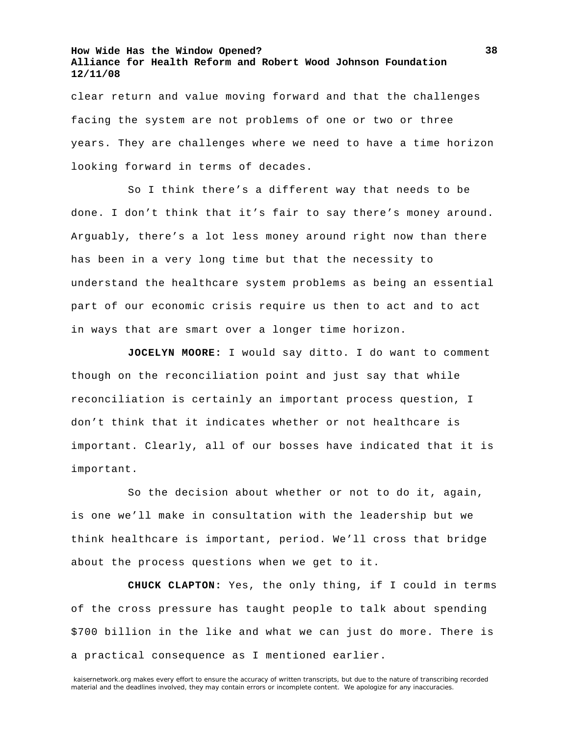clear return and value moving forward and that the challenges facing the system are not problems of one or two or three years. They are challenges where we need to have a time horizon looking forward in terms of decades.

So I think there's a different way that needs to be done. I don't think that it's fair to say there's money around. Arguably, there's a lot less money around right now than there has been in a very long time but that the necessity to understand the healthcare system problems as being an essential part of our economic crisis require us then to act and to act in ways that are smart over a longer time horizon.

**JOCELYN MOORE:** I would say ditto. I do want to comment though on the reconciliation point and just say that while reconciliation is certainly an important process question, I don't think that it indicates whether or not healthcare is important. Clearly, all of our bosses have indicated that it is important.

So the decision about whether or not to do it, again, is one we'll make in consultation with the leadership but we think healthcare is important, period. We'll cross that bridge about the process questions when we get to it.

**CHUCK CLAPTON:** Yes, the only thing, if I could in terms of the cross pressure has taught people to talk about spending \$700 billion in the like and what we can just do more. There is a practical consequence as I mentioned earlier.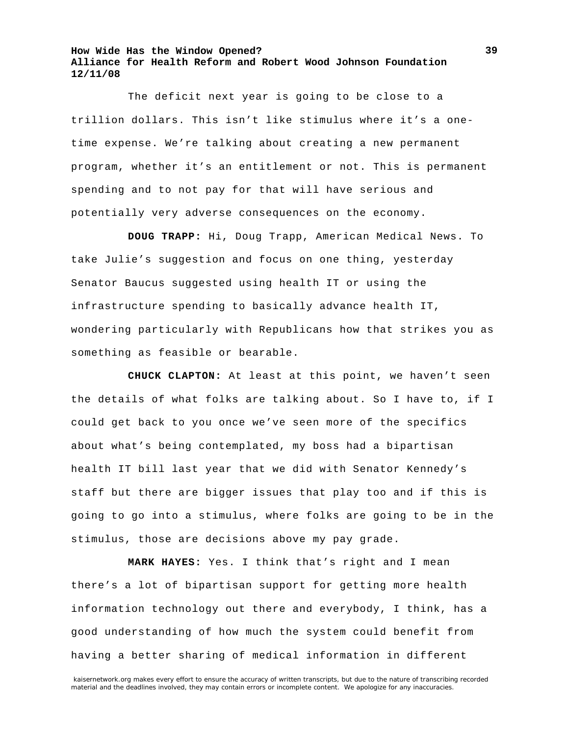The deficit next year is going to be close to a trillion dollars. This isn't like stimulus where it's a onetime expense. We're talking about creating a new permanent program, whether it's an entitlement or not. This is permanent spending and to not pay for that will have serious and potentially very adverse consequences on the economy.

**DOUG TRAPP:** Hi, Doug Trapp, American Medical News. To take Julie's suggestion and focus on one thing, yesterday Senator Baucus suggested using health IT or using the infrastructure spending to basically advance health IT, wondering particularly with Republicans how that strikes you as something as feasible or bearable.

**CHUCK CLAPTON:** At least at this point, we haven't seen the details of what folks are talking about. So I have to, if I could get back to you once we've seen more of the specifics about what's being contemplated, my boss had a bipartisan health IT bill last year that we did with Senator Kennedy's staff but there are bigger issues that play too and if this is going to go into a stimulus, where folks are going to be in the stimulus, those are decisions above my pay grade.

**MARK HAYES:** Yes. I think that's right and I mean there's a lot of bipartisan support for getting more health information technology out there and everybody, I think, has a good understanding of how much the system could benefit from having a better sharing of medical information in different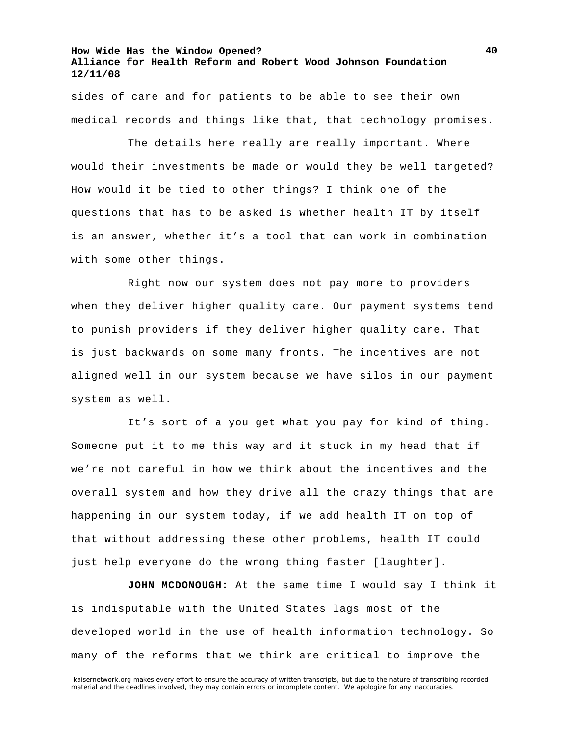sides of care and for patients to be able to see their own medical records and things like that, that technology promises.

The details here really are really important. Where would their investments be made or would they be well targeted? How would it be tied to other things? I think one of the questions that has to be asked is whether health IT by itself is an answer, whether it's a tool that can work in combination with some other things.

Right now our system does not pay more to providers when they deliver higher quality care. Our payment systems tend to punish providers if they deliver higher quality care. That is just backwards on some many fronts. The incentives are not aligned well in our system because we have silos in our payment system as well.

It's sort of a you get what you pay for kind of thing. Someone put it to me this way and it stuck in my head that if we're not careful in how we think about the incentives and the overall system and how they drive all the crazy things that are happening in our system today, if we add health IT on top of that without addressing these other problems, health IT could just help everyone do the wrong thing faster [laughter].

**JOHN MCDONOUGH:** At the same time I would say I think it is indisputable with the United States lags most of the developed world in the use of health information technology. So many of the reforms that we think are critical to improve the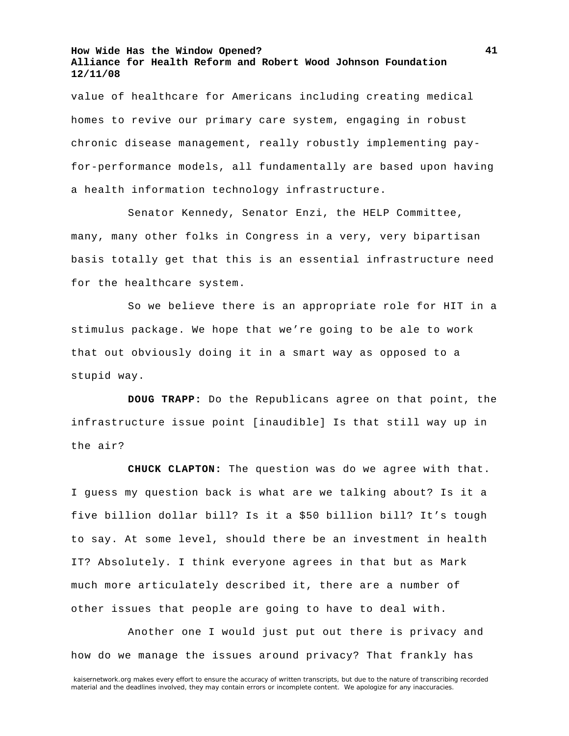value of healthcare for Americans including creating medical homes to revive our primary care system, engaging in robust chronic disease management, really robustly implementing payfor-performance models, all fundamentally are based upon having a health information technology infrastructure.

Senator Kennedy, Senator Enzi, the HELP Committee, many, many other folks in Congress in a very, very bipartisan basis totally get that this is an essential infrastructure need for the healthcare system.

So we believe there is an appropriate role for HIT in a stimulus package. We hope that we're going to be ale to work that out obviously doing it in a smart way as opposed to a stupid way.

**DOUG TRAPP:** Do the Republicans agree on that point, the infrastructure issue point [inaudible] Is that still way up in the air?

**CHUCK CLAPTON:** The question was do we agree with that. I guess my question back is what are we talking about? Is it a five billion dollar bill? Is it a \$50 billion bill? It's tough to say. At some level, should there be an investment in health IT? Absolutely. I think everyone agrees in that but as Mark much more articulately described it, there are a number of other issues that people are going to have to deal with.

Another one I would just put out there is privacy and how do we manage the issues around privacy? That frankly has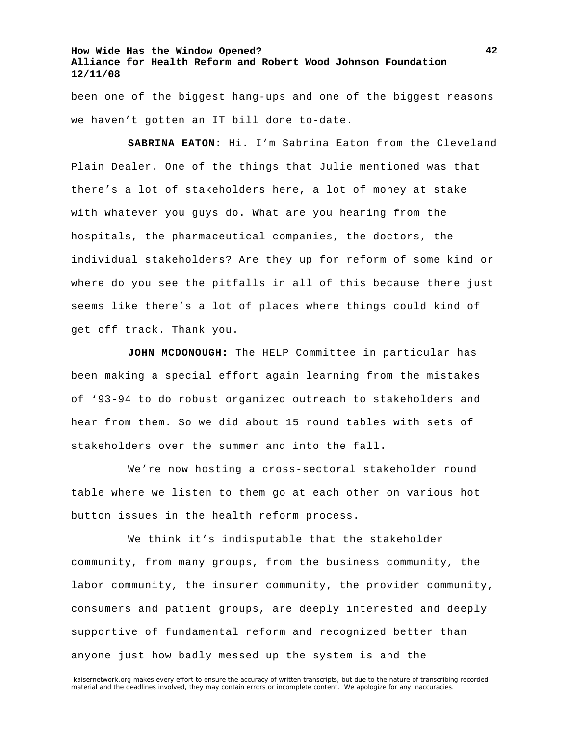been one of the biggest hang-ups and one of the biggest reasons we haven't gotten an IT bill done to-date.

**SABRINA EATON:** Hi. I'm Sabrina Eaton from the Cleveland Plain Dealer. One of the things that Julie mentioned was that there's a lot of stakeholders here, a lot of money at stake with whatever you guys do. What are you hearing from the hospitals, the pharmaceutical companies, the doctors, the individual stakeholders? Are they up for reform of some kind or where do you see the pitfalls in all of this because there just seems like there's a lot of places where things could kind of get off track. Thank you.

**JOHN MCDONOUGH:** The HELP Committee in particular has been making a special effort again learning from the mistakes of '93-94 to do robust organized outreach to stakeholders and hear from them. So we did about 15 round tables with sets of stakeholders over the summer and into the fall.

We're now hosting a cross-sectoral stakeholder round table where we listen to them go at each other on various hot button issues in the health reform process.

We think it's indisputable that the stakeholder community, from many groups, from the business community, the labor community, the insurer community, the provider community, consumers and patient groups, are deeply interested and deeply supportive of fundamental reform and recognized better than anyone just how badly messed up the system is and the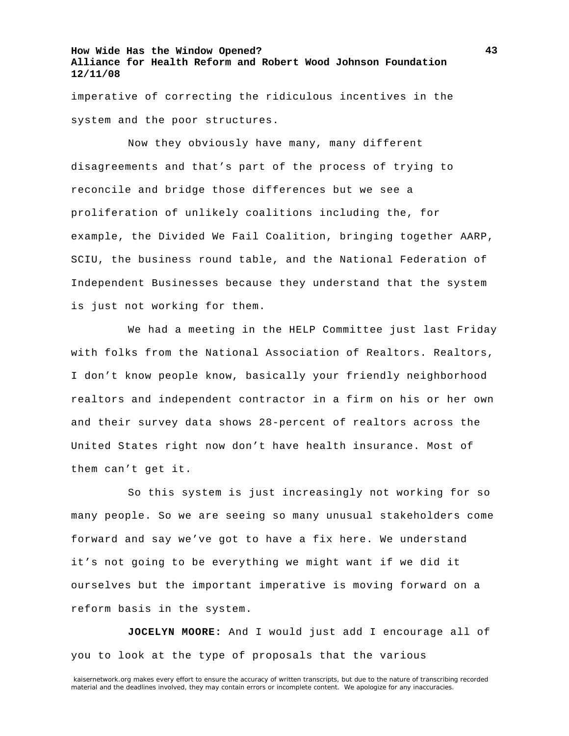imperative of correcting the ridiculous incentives in the system and the poor structures.

Now they obviously have many, many different disagreements and that's part of the process of trying to reconcile and bridge those differences but we see a proliferation of unlikely coalitions including the, for example, the Divided We Fail Coalition, bringing together AARP, SCIU, the business round table, and the National Federation of Independent Businesses because they understand that the system is just not working for them.

We had a meeting in the HELP Committee just last Friday with folks from the National Association of Realtors. Realtors, I don't know people know, basically your friendly neighborhood realtors and independent contractor in a firm on his or her own and their survey data shows 28-percent of realtors across the United States right now don't have health insurance. Most of them can't get it.

So this system is just increasingly not working for so many people. So we are seeing so many unusual stakeholders come forward and say we've got to have a fix here. We understand it's not going to be everything we might want if we did it ourselves but the important imperative is moving forward on a reform basis in the system.

**JOCELYN MOORE:** And I would just add I encourage all of you to look at the type of proposals that the various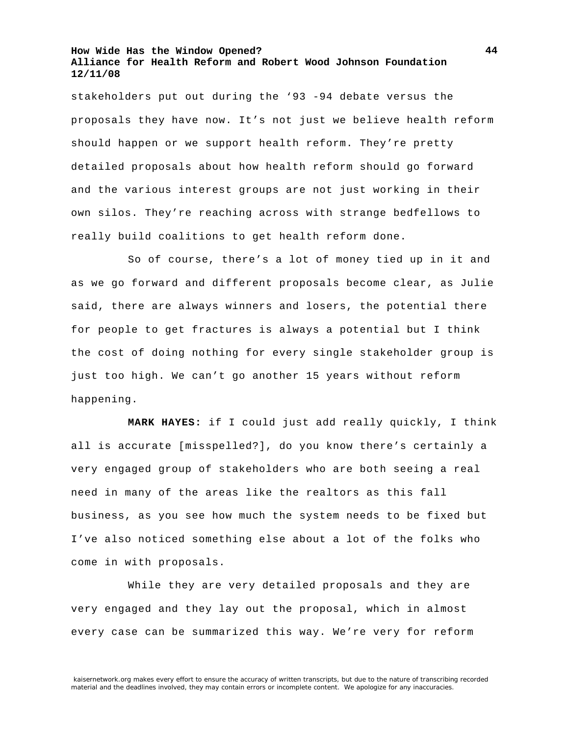stakeholders put out during the '93 -94 debate versus the proposals they have now. It's not just we believe health reform should happen or we support health reform. They're pretty detailed proposals about how health reform should go forward and the various interest groups are not just working in their own silos. They're reaching across with strange bedfellows to really build coalitions to get health reform done.

So of course, there's a lot of money tied up in it and as we go forward and different proposals become clear, as Julie said, there are always winners and losers, the potential there for people to get fractures is always a potential but I think the cost of doing nothing for every single stakeholder group is just too high. We can't go another 15 years without reform happening.

**MARK HAYES:** if I could just add really quickly, I think all is accurate [misspelled?], do you know there's certainly a very engaged group of stakeholders who are both seeing a real need in many of the areas like the realtors as this fall business, as you see how much the system needs to be fixed but I've also noticed something else about a lot of the folks who come in with proposals.

While they are very detailed proposals and they are very engaged and they lay out the proposal, which in almost every case can be summarized this way. We're very for reform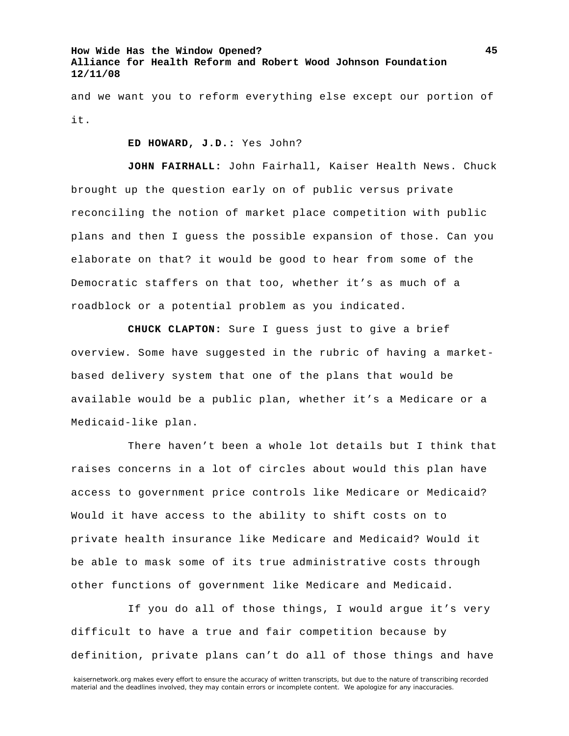and we want you to reform everything else except our portion of it.

**ED HOWARD, J.D.:** Yes John?

**JOHN FAIRHALL:** John Fairhall, Kaiser Health News. Chuck brought up the question early on of public versus private reconciling the notion of market place competition with public plans and then I guess the possible expansion of those. Can you elaborate on that? it would be good to hear from some of the Democratic staffers on that too, whether it's as much of a roadblock or a potential problem as you indicated.

**CHUCK CLAPTON:** Sure I guess just to give a brief overview. Some have suggested in the rubric of having a marketbased delivery system that one of the plans that would be available would be a public plan, whether it's a Medicare or a Medicaid-like plan.

There haven't been a whole lot details but I think that raises concerns in a lot of circles about would this plan have access to government price controls like Medicare or Medicaid? Would it have access to the ability to shift costs on to private health insurance like Medicare and Medicaid? Would it be able to mask some of its true administrative costs through other functions of government like Medicare and Medicaid.

If you do all of those things, I would argue it's very difficult to have a true and fair competition because by definition, private plans can't do all of those things and have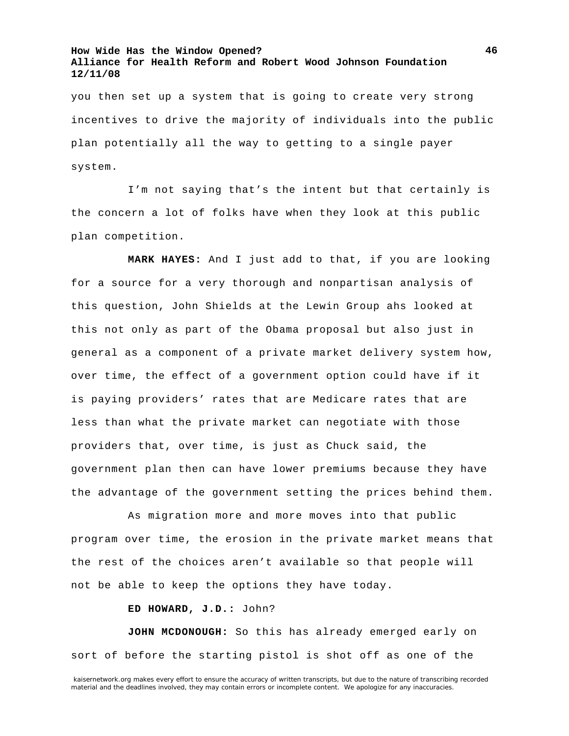you then set up a system that is going to create very strong incentives to drive the majority of individuals into the public plan potentially all the way to getting to a single payer system.

I'm not saying that's the intent but that certainly is the concern a lot of folks have when they look at this public plan competition.

**MARK HAYES:** And I just add to that, if you are looking for a source for a very thorough and nonpartisan analysis of this question, John Shields at the Lewin Group ahs looked at this not only as part of the Obama proposal but also just in general as a component of a private market delivery system how, over time, the effect of a government option could have if it is paying providers' rates that are Medicare rates that are less than what the private market can negotiate with those providers that, over time, is just as Chuck said, the government plan then can have lower premiums because they have the advantage of the government setting the prices behind them.

As migration more and more moves into that public program over time, the erosion in the private market means that the rest of the choices aren't available so that people will not be able to keep the options they have today.

**ED HOWARD, J.D.:** John?

**JOHN MCDONOUGH:** So this has already emerged early on sort of before the starting pistol is shot off as one of the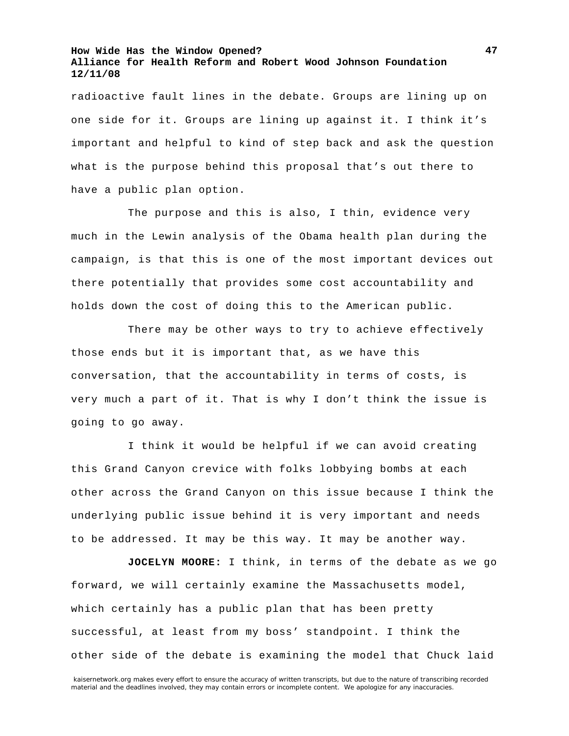radioactive fault lines in the debate. Groups are lining up on one side for it. Groups are lining up against it. I think it's important and helpful to kind of step back and ask the question what is the purpose behind this proposal that's out there to have a public plan option.

The purpose and this is also, I thin, evidence very much in the Lewin analysis of the Obama health plan during the campaign, is that this is one of the most important devices out there potentially that provides some cost accountability and holds down the cost of doing this to the American public.

There may be other ways to try to achieve effectively those ends but it is important that, as we have this conversation, that the accountability in terms of costs, is very much a part of it. That is why I don't think the issue is going to go away.

I think it would be helpful if we can avoid creating this Grand Canyon crevice with folks lobbying bombs at each other across the Grand Canyon on this issue because I think the underlying public issue behind it is very important and needs to be addressed. It may be this way. It may be another way.

**JOCELYN MOORE:** I think, in terms of the debate as we go forward, we will certainly examine the Massachusetts model, which certainly has a public plan that has been pretty successful, at least from my boss' standpoint. I think the other side of the debate is examining the model that Chuck laid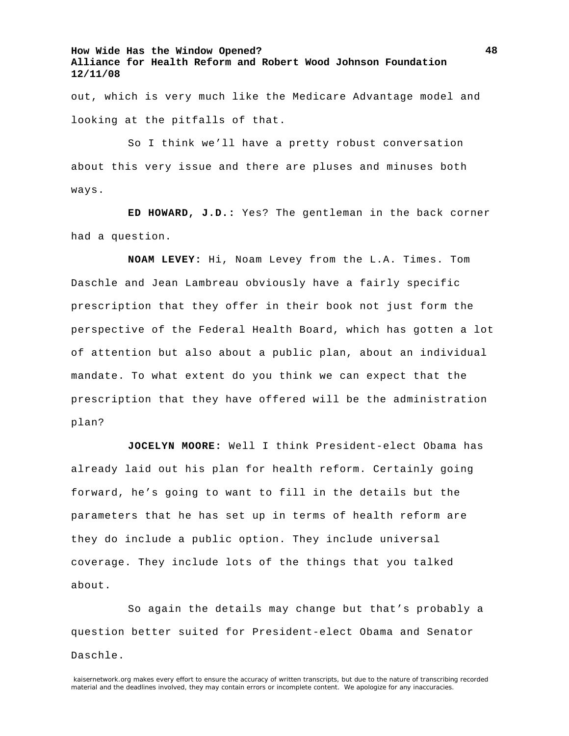out, which is very much like the Medicare Advantage model and looking at the pitfalls of that.

So I think we'll have a pretty robust conversation about this very issue and there are pluses and minuses both ways.

**ED HOWARD, J.D.:** Yes? The gentleman in the back corner had a question.

**NOAM LEVEY:** Hi, Noam Levey from the L.A. Times. Tom Daschle and Jean Lambreau obviously have a fairly specific prescription that they offer in their book not just form the perspective of the Federal Health Board, which has gotten a lot of attention but also about a public plan, about an individual mandate. To what extent do you think we can expect that the prescription that they have offered will be the administration plan?

**JOCELYN MOORE:** Well I think President-elect Obama has already laid out his plan for health reform. Certainly going forward, he's going to want to fill in the details but the parameters that he has set up in terms of health reform are they do include a public option. They include universal coverage. They include lots of the things that you talked about.

So again the details may change but that's probably a question better suited for President-elect Obama and Senator Daschle.

kaisernetwork.org makes every effort to ensure the accuracy of written transcripts, but due to the nature of transcribing recorded material and the deadlines involved, they may contain errors or incomplete content. We apologize for any inaccuracies.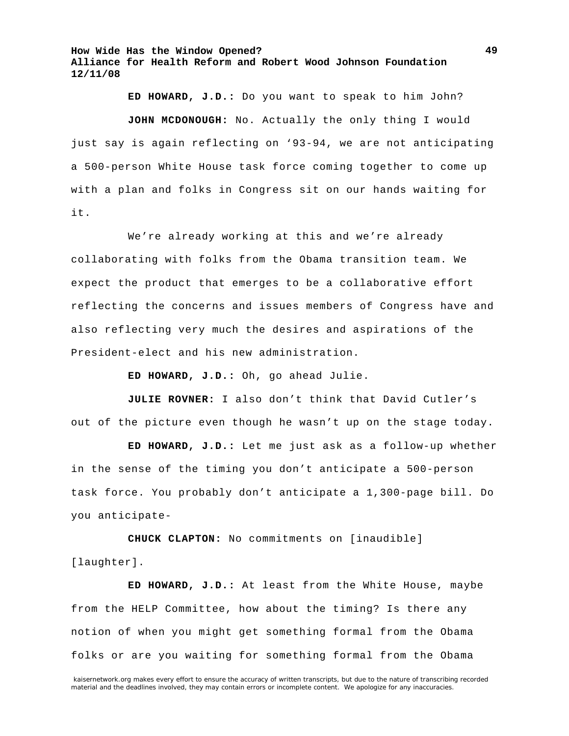**ED HOWARD, J.D.:** Do you want to speak to him John? **JOHN MCDONOUGH:** No. Actually the only thing I would just say is again reflecting on '93-94, we are not anticipating a 500-person White House task force coming together to come up with a plan and folks in Congress sit on our hands waiting for it.

We're already working at this and we're already collaborating with folks from the Obama transition team. We expect the product that emerges to be a collaborative effort reflecting the concerns and issues members of Congress have and also reflecting very much the desires and aspirations of the President-elect and his new administration.

**ED HOWARD, J.D.:** Oh, go ahead Julie.

**JULIE ROVNER:** I also don't think that David Cutler's out of the picture even though he wasn't up on the stage today.

**ED HOWARD, J.D.:** Let me just ask as a follow-up whether in the sense of the timing you don't anticipate a 500-person task force. You probably don't anticipate a 1,300-page bill. Do you anticipate-

**CHUCK CLAPTON:** No commitments on [inaudible] [laughter].

**ED HOWARD, J.D.:** At least from the White House, maybe from the HELP Committee, how about the timing? Is there any notion of when you might get something formal from the Obama folks or are you waiting for something formal from the Obama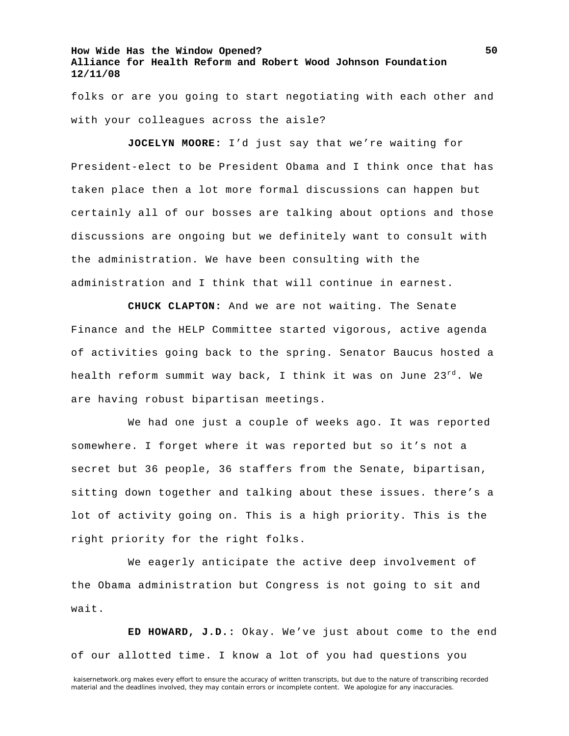folks or are you going to start negotiating with each other and with your colleagues across the aisle?

**JOCELYN MOORE:** I'd just say that we're waiting for President-elect to be President Obama and I think once that has taken place then a lot more formal discussions can happen but certainly all of our bosses are talking about options and those discussions are ongoing but we definitely want to consult with the administration. We have been consulting with the administration and I think that will continue in earnest.

**CHUCK CLAPTON:** And we are not waiting. The Senate Finance and the HELP Committee started vigorous, active agenda of activities going back to the spring. Senator Baucus hosted a health reform summit way back, I think it was on June  $23^{rd}$ . We are having robust bipartisan meetings.

We had one just a couple of weeks ago. It was reported somewhere. I forget where it was reported but so it's not a secret but 36 people, 36 staffers from the Senate, bipartisan, sitting down together and talking about these issues. there's a lot of activity going on. This is a high priority. This is the right priority for the right folks.

We eagerly anticipate the active deep involvement of the Obama administration but Congress is not going to sit and wait.

**ED HOWARD, J.D.:** Okay. We've just about come to the end of our allotted time. I know a lot of you had questions you